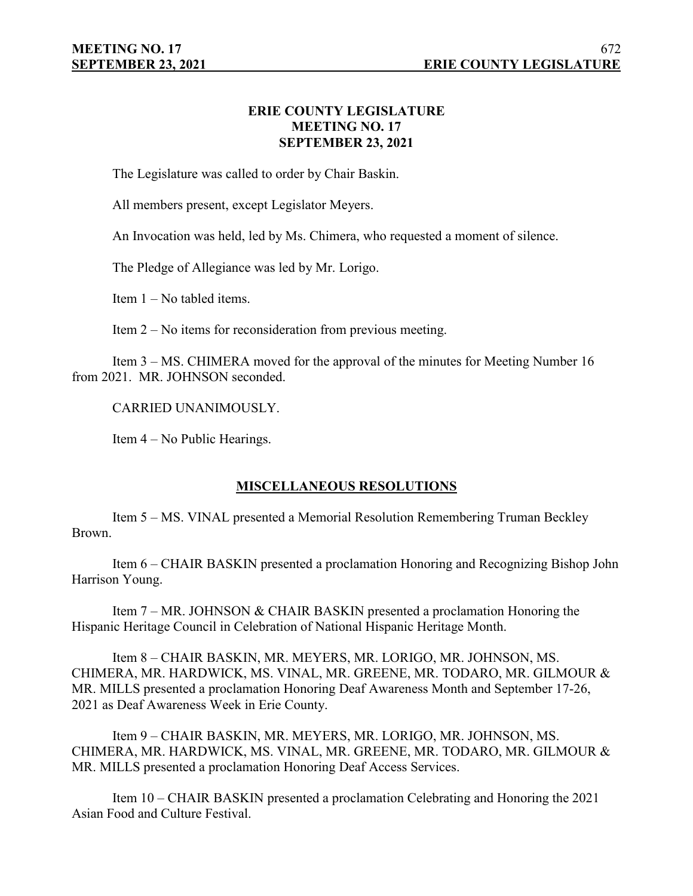# **ERIE COUNTY LEGISLATURE MEETING NO. 17 SEPTEMBER 23, 2021**

The Legislature was called to order by Chair Baskin.

All members present, except Legislator Meyers.

An Invocation was held, led by Ms. Chimera, who requested a moment of silence.

The Pledge of Allegiance was led by Mr. Lorigo.

Item 1 – No tabled items.

Item 2 – No items for reconsideration from previous meeting.

Item 3 – MS. CHIMERA moved for the approval of the minutes for Meeting Number 16 from 2021. MR. JOHNSON seconded.

CARRIED UNANIMOUSLY.

Item 4 – No Public Hearings.

# **MISCELLANEOUS RESOLUTIONS**

Item 5 – MS. VINAL presented a Memorial Resolution Remembering Truman Beckley Brown.

Item 6 – CHAIR BASKIN presented a proclamation Honoring and Recognizing Bishop John Harrison Young.

Item 7 – MR. JOHNSON & CHAIR BASKIN presented a proclamation Honoring the Hispanic Heritage Council in Celebration of National Hispanic Heritage Month.

Item 8 – CHAIR BASKIN, MR. MEYERS, MR. LORIGO, MR. JOHNSON, MS. CHIMERA, MR. HARDWICK, MS. VINAL, MR. GREENE, MR. TODARO, MR. GILMOUR & MR. MILLS presented a proclamation Honoring Deaf Awareness Month and September 17-26, 2021 as Deaf Awareness Week in Erie County.

Item 9 – CHAIR BASKIN, MR. MEYERS, MR. LORIGO, MR. JOHNSON, MS. CHIMERA, MR. HARDWICK, MS. VINAL, MR. GREENE, MR. TODARO, MR. GILMOUR & MR. MILLS presented a proclamation Honoring Deaf Access Services.

Item 10 – CHAIR BASKIN presented a proclamation Celebrating and Honoring the 2021 Asian Food and Culture Festival.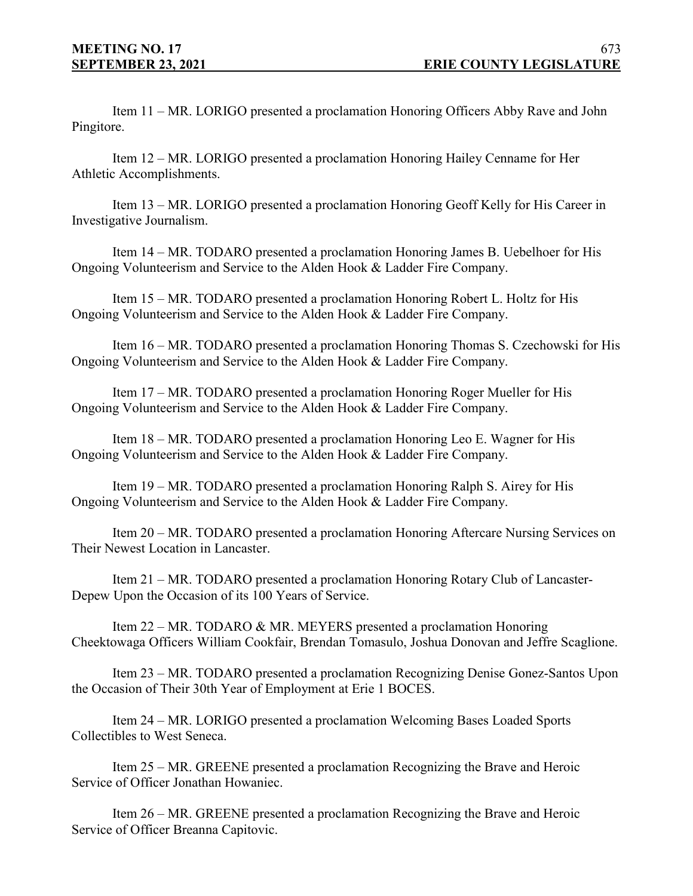Item 11 – MR. LORIGO presented a proclamation Honoring Officers Abby Rave and John Pingitore.

Item 12 – MR. LORIGO presented a proclamation Honoring Hailey Cenname for Her Athletic Accomplishments.

Item 13 – MR. LORIGO presented a proclamation Honoring Geoff Kelly for His Career in Investigative Journalism.

Item 14 – MR. TODARO presented a proclamation Honoring James B. Uebelhoer for His Ongoing Volunteerism and Service to the Alden Hook & Ladder Fire Company.

Item 15 – MR. TODARO presented a proclamation Honoring Robert L. Holtz for His Ongoing Volunteerism and Service to the Alden Hook & Ladder Fire Company.

Item 16 – MR. TODARO presented a proclamation Honoring Thomas S. Czechowski for His Ongoing Volunteerism and Service to the Alden Hook & Ladder Fire Company.

Item 17 – MR. TODARO presented a proclamation Honoring Roger Mueller for His Ongoing Volunteerism and Service to the Alden Hook & Ladder Fire Company.

Item 18 – MR. TODARO presented a proclamation Honoring Leo E. Wagner for His Ongoing Volunteerism and Service to the Alden Hook & Ladder Fire Company.

Item 19 – MR. TODARO presented a proclamation Honoring Ralph S. Airey for His Ongoing Volunteerism and Service to the Alden Hook & Ladder Fire Company.

Item 20 – MR. TODARO presented a proclamation Honoring Aftercare Nursing Services on Their Newest Location in Lancaster.

Item 21 – MR. TODARO presented a proclamation Honoring Rotary Club of Lancaster-Depew Upon the Occasion of its 100 Years of Service.

Item 22 – MR. TODARO & MR. MEYERS presented a proclamation Honoring Cheektowaga Officers William Cookfair, Brendan Tomasulo, Joshua Donovan and Jeffre Scaglione.

Item 23 – MR. TODARO presented a proclamation Recognizing Denise Gonez-Santos Upon the Occasion of Their 30th Year of Employment at Erie 1 BOCES.

Item 24 – MR. LORIGO presented a proclamation Welcoming Bases Loaded Sports Collectibles to West Seneca.

Item 25 – MR. GREENE presented a proclamation Recognizing the Brave and Heroic Service of Officer Jonathan Howaniec.

Item 26 – MR. GREENE presented a proclamation Recognizing the Brave and Heroic Service of Officer Breanna Capitovic.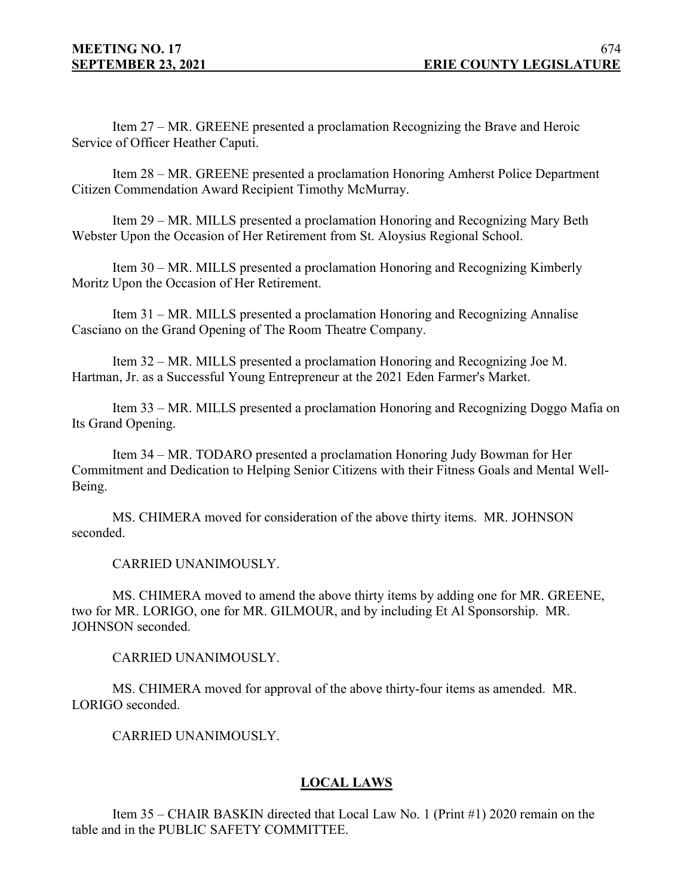Item 27 – MR. GREENE presented a proclamation Recognizing the Brave and Heroic Service of Officer Heather Caputi.

Item 28 – MR. GREENE presented a proclamation Honoring Amherst Police Department Citizen Commendation Award Recipient Timothy McMurray.

Item 29 – MR. MILLS presented a proclamation Honoring and Recognizing Mary Beth Webster Upon the Occasion of Her Retirement from St. Aloysius Regional School.

Item 30 – MR. MILLS presented a proclamation Honoring and Recognizing Kimberly Moritz Upon the Occasion of Her Retirement.

Item 31 – MR. MILLS presented a proclamation Honoring and Recognizing Annalise Casciano on the Grand Opening of The Room Theatre Company.

Item 32 – MR. MILLS presented a proclamation Honoring and Recognizing Joe M. Hartman, Jr. as a Successful Young Entrepreneur at the 2021 Eden Farmer's Market.

Item 33 – MR. MILLS presented a proclamation Honoring and Recognizing Doggo Mafia on Its Grand Opening.

Item 34 – MR. TODARO presented a proclamation Honoring Judy Bowman for Her Commitment and Dedication to Helping Senior Citizens with their Fitness Goals and Mental Well-Being.

MS. CHIMERA moved for consideration of the above thirty items. MR. JOHNSON seconded.

CARRIED UNANIMOUSLY.

MS. CHIMERA moved to amend the above thirty items by adding one for MR. GREENE, two for MR. LORIGO, one for MR. GILMOUR, and by including Et Al Sponsorship. MR. JOHNSON seconded.

CARRIED UNANIMOUSLY.

MS. CHIMERA moved for approval of the above thirty-four items as amended. MR. LORIGO seconded.

CARRIED UNANIMOUSLY.

# **LOCAL LAWS**

Item 35 – CHAIR BASKIN directed that Local Law No. 1 (Print #1) 2020 remain on the table and in the PUBLIC SAFETY COMMITTEE.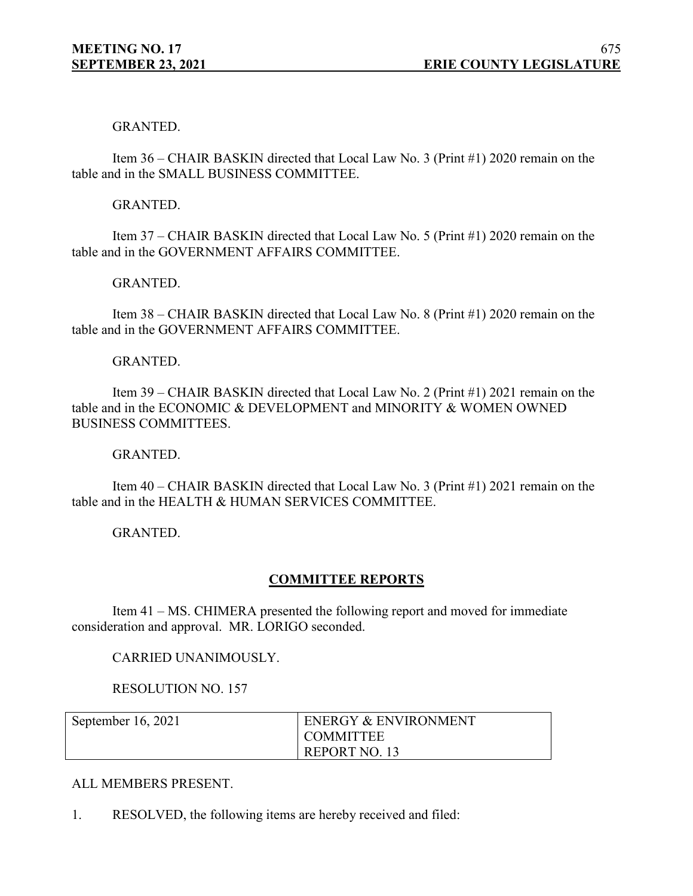## GRANTED.

Item 36 – CHAIR BASKIN directed that Local Law No. 3 (Print #1) 2020 remain on the table and in the SMALL BUSINESS COMMITTEE.

### GRANTED.

Item 37 – CHAIR BASKIN directed that Local Law No. 5 (Print #1) 2020 remain on the table and in the GOVERNMENT AFFAIRS COMMITTEE.

## GRANTED.

Item 38 – CHAIR BASKIN directed that Local Law No. 8 (Print #1) 2020 remain on the table and in the GOVERNMENT AFFAIRS COMMITTEE.

### GRANTED.

Item 39 – CHAIR BASKIN directed that Local Law No. 2 (Print #1) 2021 remain on the table and in the ECONOMIC & DEVELOPMENT and MINORITY & WOMEN OWNED BUSINESS COMMITTEES.

### GRANTED.

Item 40 – CHAIR BASKIN directed that Local Law No. 3 (Print #1) 2021 remain on the table and in the HEALTH & HUMAN SERVICES COMMITTEE.

GRANTED.

## **COMMITTEE REPORTS**

Item 41 – MS. CHIMERA presented the following report and moved for immediate consideration and approval. MR. LORIGO seconded.

### CARRIED UNANIMOUSLY.

RESOLUTION NO. 157

| September 16, 2021 | <b>ENERGY &amp; ENVIRONMENT</b> |
|--------------------|---------------------------------|
|                    | <b>COMMITTEE</b>                |
|                    | REPORT NO. 13                   |

### ALL MEMBERS PRESENT.

1. RESOLVED, the following items are hereby received and filed: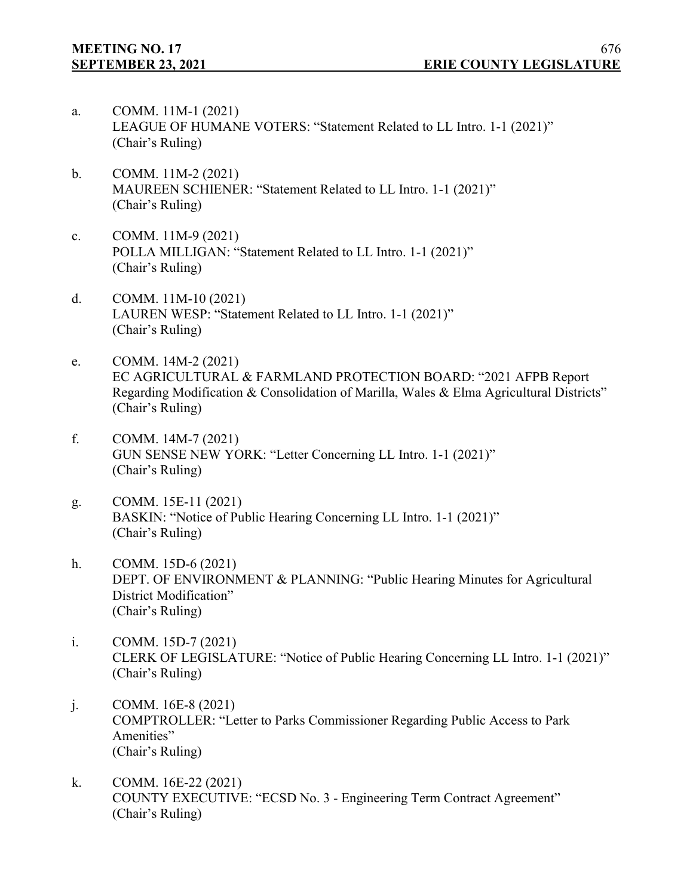- a. COMM. 11M-1 (2021) LEAGUE OF HUMANE VOTERS: "Statement Related to LL Intro. 1-1 (2021)" (Chair's Ruling)
- b. COMM. 11M-2 (2021) MAUREEN SCHIENER: "Statement Related to LL Intro. 1-1 (2021)" (Chair's Ruling)
- c. COMM. 11M-9 (2021) POLLA MILLIGAN: "Statement Related to LL Intro. 1-1 (2021)" (Chair's Ruling)
- d. COMM. 11M-10 (2021) LAUREN WESP: "Statement Related to LL Intro. 1-1 (2021)" (Chair's Ruling)
- e. COMM. 14M-2 (2021) EC AGRICULTURAL & FARMLAND PROTECTION BOARD: "2021 AFPB Report Regarding Modification & Consolidation of Marilla, Wales & Elma Agricultural Districts" (Chair's Ruling)
- f. COMM. 14M-7 (2021) GUN SENSE NEW YORK: "Letter Concerning LL Intro. 1-1 (2021)" (Chair's Ruling)
- g. COMM. 15E-11 (2021) BASKIN: "Notice of Public Hearing Concerning LL Intro. 1-1 (2021)" (Chair's Ruling)
- h. COMM. 15D-6 (2021) DEPT. OF ENVIRONMENT & PLANNING: "Public Hearing Minutes for Agricultural District Modification" (Chair's Ruling)
- i. COMM. 15D-7 (2021) CLERK OF LEGISLATURE: "Notice of Public Hearing Concerning LL Intro. 1-1 (2021)" (Chair's Ruling)
- j. COMM. 16E-8 (2021) COMPTROLLER: "Letter to Parks Commissioner Regarding Public Access to Park Amenities" (Chair's Ruling)
- k. COMM. 16E-22 (2021) COUNTY EXECUTIVE: "ECSD No. 3 - Engineering Term Contract Agreement" (Chair's Ruling)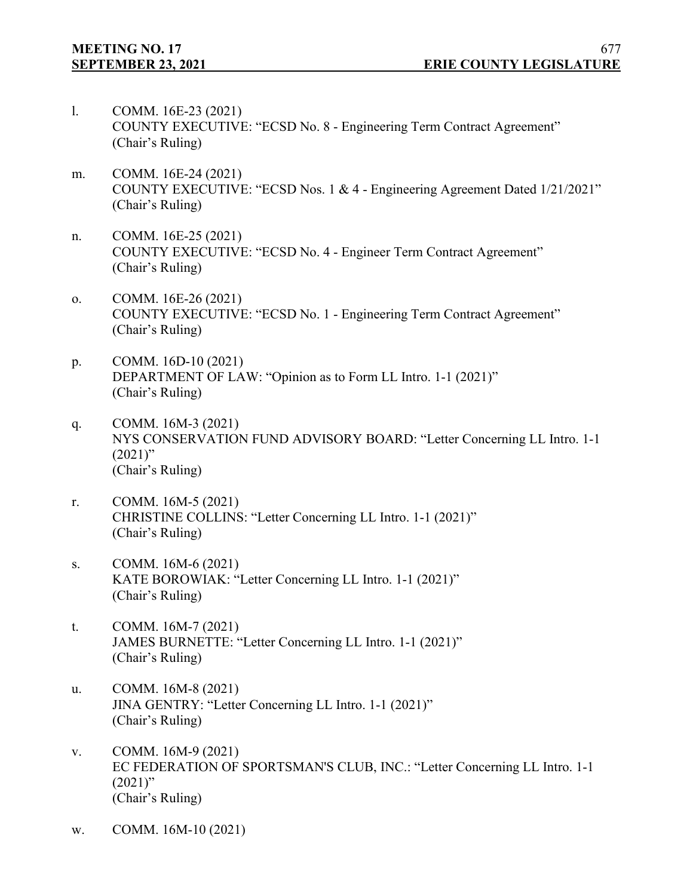- l. COMM. 16E-23 (2021) COUNTY EXECUTIVE: "ECSD No. 8 - Engineering Term Contract Agreement" (Chair's Ruling)
- m. COMM. 16E-24 (2021) COUNTY EXECUTIVE: "ECSD Nos. 1 & 4 - Engineering Agreement Dated 1/21/2021" (Chair's Ruling)
- n. COMM. 16E-25 (2021) COUNTY EXECUTIVE: "ECSD No. 4 - Engineer Term Contract Agreement" (Chair's Ruling)
- o. COMM. 16E-26 (2021) COUNTY EXECUTIVE: "ECSD No. 1 - Engineering Term Contract Agreement" (Chair's Ruling)
- p. COMM. 16D-10 (2021) DEPARTMENT OF LAW: "Opinion as to Form LL Intro. 1-1 (2021)" (Chair's Ruling)
- q. COMM. 16M-3 (2021) NYS CONSERVATION FUND ADVISORY BOARD: "Letter Concerning LL Intro. 1-1  $(2021)$ " (Chair's Ruling)
- r. COMM. 16M-5 (2021) CHRISTINE COLLINS: "Letter Concerning LL Intro. 1-1 (2021)" (Chair's Ruling)
- s. COMM. 16M-6 (2021) KATE BOROWIAK: "Letter Concerning LL Intro. 1-1 (2021)" (Chair's Ruling)
- t. COMM. 16M-7 (2021) JAMES BURNETTE: "Letter Concerning LL Intro. 1-1 (2021)" (Chair's Ruling)
- u. COMM. 16M-8 (2021) JINA GENTRY: "Letter Concerning LL Intro. 1-1 (2021)" (Chair's Ruling)
- v. COMM. 16M-9 (2021) EC FEDERATION OF SPORTSMAN'S CLUB, INC.: "Letter Concerning LL Intro. 1-1  $(2021)$ " (Chair's Ruling)
- w. COMM. 16M-10 (2021)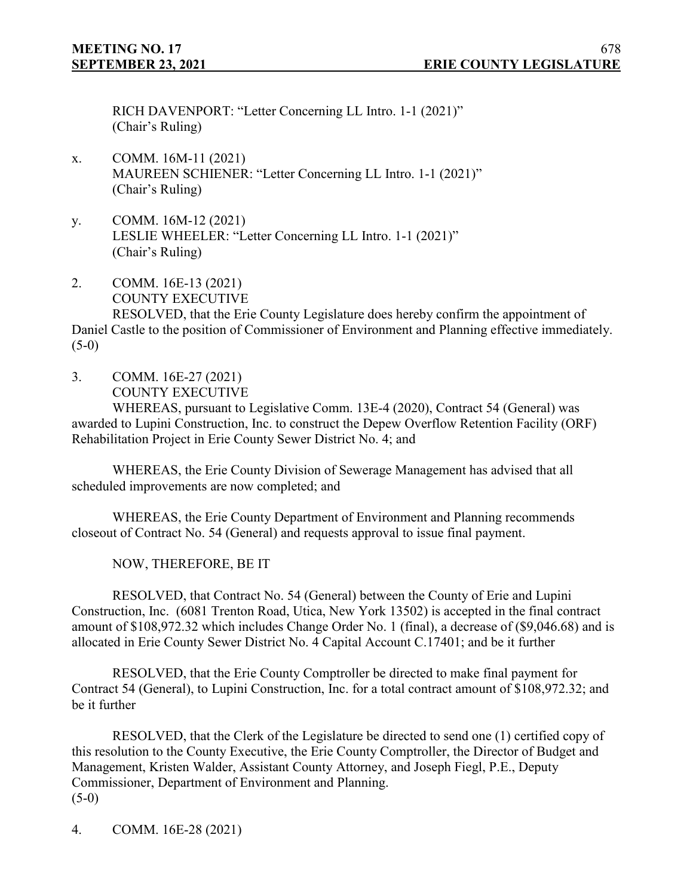RICH DAVENPORT: "Letter Concerning LL Intro. 1-1 (2021)" (Chair's Ruling)

- x. COMM. 16M-11 (2021) MAUREEN SCHIENER: "Letter Concerning LL Intro. 1-1 (2021)" (Chair's Ruling)
- y. COMM. 16M-12 (2021) LESLIE WHEELER: "Letter Concerning LL Intro. 1-1 (2021)" (Chair's Ruling)
- 2. COMM. 16E-13 (2021) COUNTY EXECUTIVE

RESOLVED, that the Erie County Legislature does hereby confirm the appointment of Daniel Castle to the position of Commissioner of Environment and Planning effective immediately.  $(5-0)$ 

3. COMM. 16E-27 (2021) COUNTY EXECUTIVE

WHEREAS, pursuant to Legislative Comm. 13E-4 (2020), Contract 54 (General) was awarded to Lupini Construction, Inc. to construct the Depew Overflow Retention Facility (ORF) Rehabilitation Project in Erie County Sewer District No. 4; and

WHEREAS, the Erie County Division of Sewerage Management has advised that all scheduled improvements are now completed; and

WHEREAS, the Erie County Department of Environment and Planning recommends closeout of Contract No. 54 (General) and requests approval to issue final payment.

NOW, THEREFORE, BE IT

RESOLVED, that Contract No. 54 (General) between the County of Erie and Lupini Construction, Inc. (6081 Trenton Road, Utica, New York 13502) is accepted in the final contract amount of \$108,972.32 which includes Change Order No. 1 (final), a decrease of (\$9,046.68) and is allocated in Erie County Sewer District No. 4 Capital Account C.17401; and be it further

RESOLVED, that the Erie County Comptroller be directed to make final payment for Contract 54 (General), to Lupini Construction, Inc. for a total contract amount of \$108,972.32; and be it further

RESOLVED, that the Clerk of the Legislature be directed to send one (1) certified copy of this resolution to the County Executive, the Erie County Comptroller, the Director of Budget and Management, Kristen Walder, Assistant County Attorney, and Joseph Fiegl, P.E., Deputy Commissioner, Department of Environment and Planning.  $(5-0)$ 

4. COMM. 16E-28 (2021)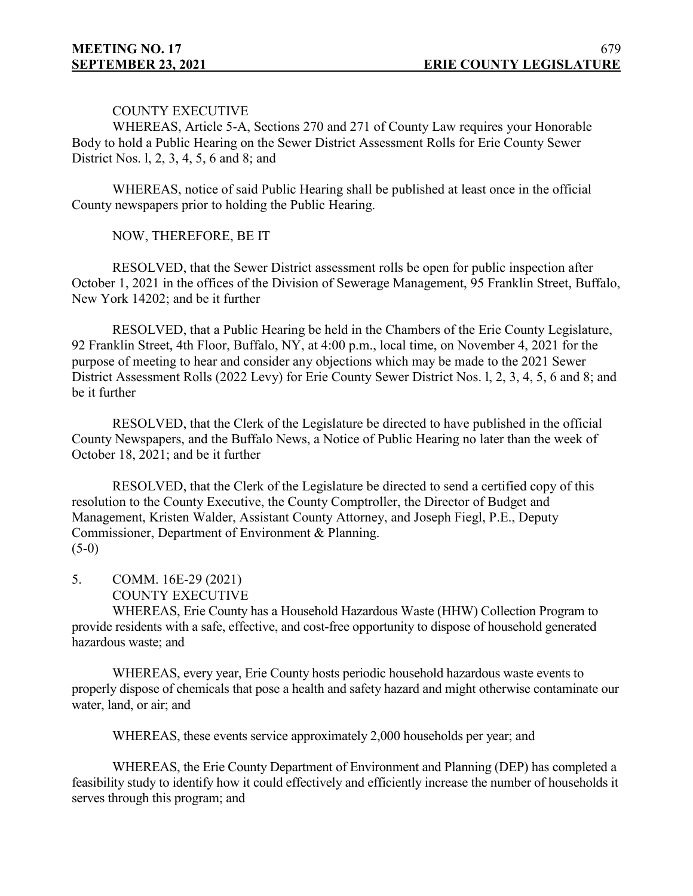## COUNTY EXECUTIVE

WHEREAS, Article 5-A, Sections 270 and 271 of County Law requires your Honorable Body to hold a Public Hearing on the Sewer District Assessment Rolls for Erie County Sewer District Nos. l, 2, 3, 4, 5, 6 and 8; and

WHEREAS, notice of said Public Hearing shall be published at least once in the official County newspapers prior to holding the Public Hearing.

# NOW, THEREFORE, BE IT

RESOLVED, that the Sewer District assessment rolls be open for public inspection after October 1, 2021 in the offices of the Division of Sewerage Management, 95 Franklin Street, Buffalo, New York 14202; and be it further

RESOLVED, that a Public Hearing be held in the Chambers of the Erie County Legislature, 92 Franklin Street, 4th Floor, Buffalo, NY, at 4:00 p.m., local time, on November 4, 2021 for the purpose of meeting to hear and consider any objections which may be made to the 2021 Sewer District Assessment Rolls (2022 Levy) for Erie County Sewer District Nos. l, 2, 3, 4, 5, 6 and 8; and be it further

RESOLVED, that the Clerk of the Legislature be directed to have published in the official County Newspapers, and the Buffalo News, a Notice of Public Hearing no later than the week of October 18, 2021; and be it further

RESOLVED, that the Clerk of the Legislature be directed to send a certified copy of this resolution to the County Executive, the County Comptroller, the Director of Budget and Management, Kristen Walder, Assistant County Attorney, and Joseph Fiegl, P.E., Deputy Commissioner, Department of Environment & Planning.  $(5-0)$ 

- 5. COMM. 16E-29 (2021)
	- COUNTY EXECUTIVE

WHEREAS, Erie County has a Household Hazardous Waste (HHW) Collection Program to provide residents with a safe, effective, and cost-free opportunity to dispose of household generated hazardous waste; and

WHEREAS, every year, Erie County hosts periodic household hazardous waste events to properly dispose of chemicals that pose a health and safety hazard and might otherwise contaminate our water, land, or air; and

WHEREAS, these events service approximately 2,000 households per year; and

WHEREAS, the Erie County Department of Environment and Planning (DEP) has completed a feasibility study to identify how it could effectively and efficiently increase the number of households it serves through this program; and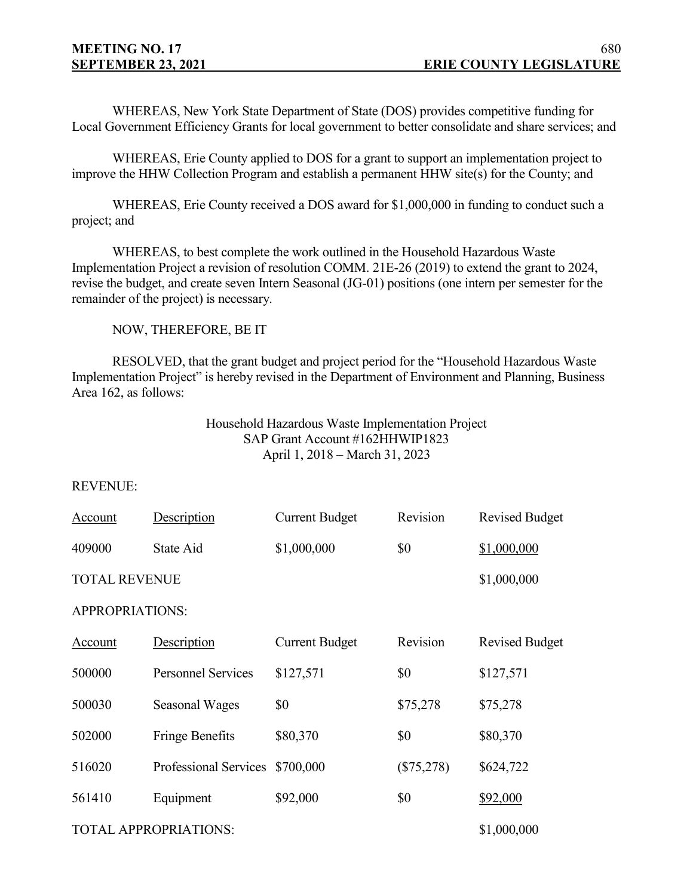WHEREAS, New York State Department of State (DOS) provides competitive funding for Local Government Efficiency Grants for local government to better consolidate and share services; and

WHEREAS, Erie County applied to DOS for a grant to support an implementation project to improve the HHW Collection Program and establish a permanent HHW site(s) for the County; and

WHEREAS, Erie County received a DOS award for \$1,000,000 in funding to conduct such a project; and

WHEREAS, to best complete the work outlined in the Household Hazardous Waste Implementation Project a revision of resolution COMM. 21E-26 (2019) to extend the grant to 2024, revise the budget, and create seven Intern Seasonal (JG-01) positions (one intern per semester for the remainder of the project) is necessary.

NOW, THEREFORE, BE IT

RESOLVED, that the grant budget and project period for the "Household Hazardous Waste Implementation Project" is hereby revised in the Department of Environment and Planning, Business Area 162, as follows:

# Household Hazardous Waste Implementation Project SAP Grant Account #162HHWIP1823 April 1, 2018 – March 31, 2023

### REVENUE:

| Account                                     | Description               | <b>Current Budget</b> | Revision     | <b>Revised Budget</b> |  |
|---------------------------------------------|---------------------------|-----------------------|--------------|-----------------------|--|
| 409000                                      | State Aid                 | \$1,000,000           | \$0          | \$1,000,000           |  |
| <b>TOTAL REVENUE</b>                        |                           |                       |              | \$1,000,000           |  |
| <b>APPROPRIATIONS:</b>                      |                           |                       |              |                       |  |
| Account                                     | Description               | <b>Current Budget</b> | Revision     | <b>Revised Budget</b> |  |
| 500000                                      | <b>Personnel Services</b> | \$127,571             | \$0          | \$127,571             |  |
| 500030                                      | <b>Seasonal Wages</b>     | \$0                   | \$75,278     | \$75,278              |  |
| 502000                                      | <b>Fringe Benefits</b>    | \$80,370              | \$0          | \$80,370              |  |
| 516020                                      | Professional Services     | \$700,000             | $(\$75,278)$ | \$624,722             |  |
| 561410                                      | Equipment                 | \$92,000              | \$0          | <u>\$92,000</u>       |  |
| <b>TOTAL APPROPRIATIONS:</b><br>\$1,000,000 |                           |                       |              |                       |  |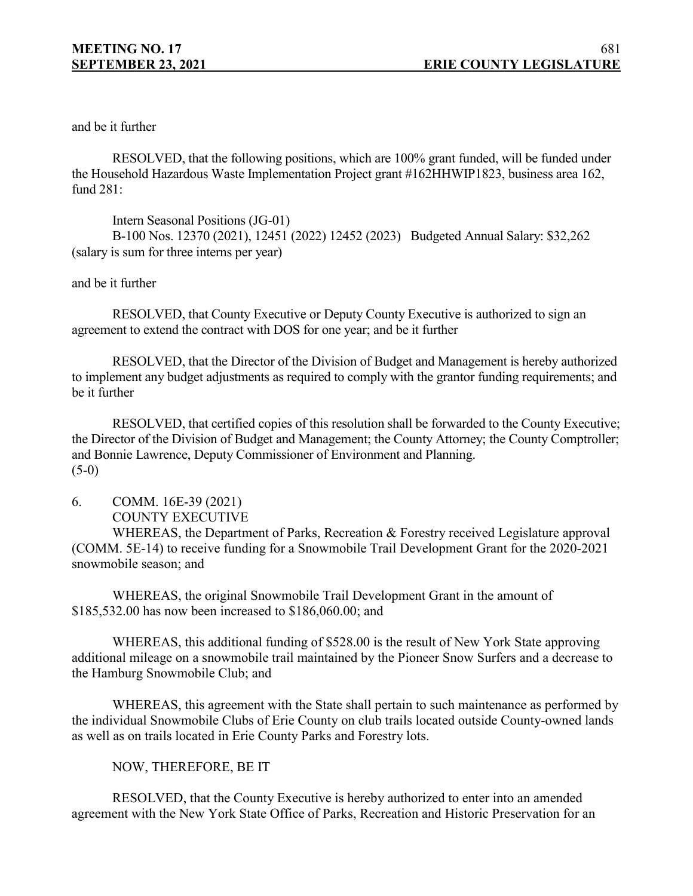and be it further

RESOLVED, that the following positions, which are 100% grant funded, will be funded under the Household Hazardous Waste Implementation Project grant #162HHWIP1823, business area 162, fund 281:

Intern Seasonal Positions (JG-01) B-100 Nos. 12370 (2021), 12451 (2022) 12452 (2023) Budgeted Annual Salary: \$32,262 (salary is sum for three interns per year)

### and be it further

RESOLVED, that County Executive or Deputy County Executive is authorized to sign an agreement to extend the contract with DOS for one year; and be it further

RESOLVED, that the Director of the Division of Budget and Management is hereby authorized to implement any budget adjustments as required to comply with the grantor funding requirements; and be it further

RESOLVED, that certified copies of this resolution shall be forwarded to the County Executive; the Director of the Division of Budget and Management; the County Attorney; the County Comptroller; and Bonnie Lawrence, Deputy Commissioner of Environment and Planning.  $(5-0)$ 

6. COMM. 16E-39 (2021) COUNTY EXECUTIVE

WHEREAS, the Department of Parks, Recreation & Forestry received Legislature approval (COMM. 5E-14) to receive funding for a Snowmobile Trail Development Grant for the 2020-2021 snowmobile season; and

WHEREAS, the original Snowmobile Trail Development Grant in the amount of \$185,532.00 has now been increased to \$186,060.00; and

WHEREAS, this additional funding of \$528.00 is the result of New York State approving additional mileage on a snowmobile trail maintained by the Pioneer Snow Surfers and a decrease to the Hamburg Snowmobile Club; and

WHEREAS, this agreement with the State shall pertain to such maintenance as performed by the individual Snowmobile Clubs of Erie County on club trails located outside County-owned lands as well as on trails located in Erie County Parks and Forestry lots.

### NOW, THEREFORE, BE IT

RESOLVED, that the County Executive is hereby authorized to enter into an amended agreement with the New York State Office of Parks, Recreation and Historic Preservation for an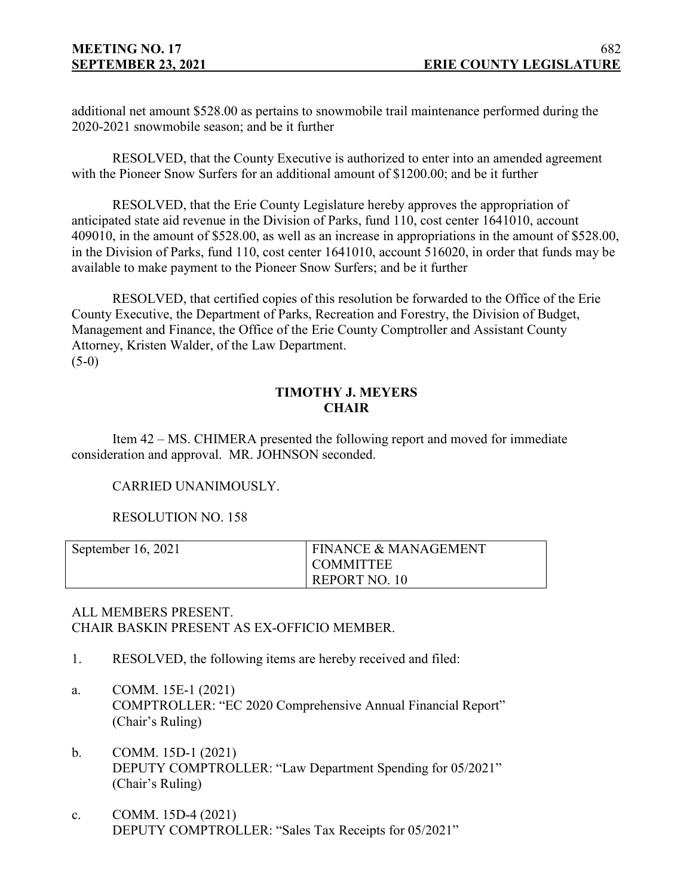additional net amount \$528.00 as pertains to snowmobile trail maintenance performed during the 2020-2021 snowmobile season; and be it further

RESOLVED, that the County Executive is authorized to enter into an amended agreement with the Pioneer Snow Surfers for an additional amount of \$1200.00; and be it further

RESOLVED, that the Erie County Legislature hereby approves the appropriation of anticipated state aid revenue in the Division of Parks, fund 110, cost center 1641010, account 409010, in the amount of \$528.00, as well as an increase in appropriations in the amount of \$528.00, in the Division of Parks, fund 110, cost center 1641010, account 516020, in order that funds may be available to make payment to the Pioneer Snow Surfers; and be it further

RESOLVED, that certified copies of this resolution be forwarded to the Office of the Erie County Executive, the Department of Parks, Recreation and Forestry, the Division of Budget, Management and Finance, the Office of the Erie County Comptroller and Assistant County Attorney, Kristen Walder, of the Law Department.  $(5-0)$ 

## **TIMOTHY J. MEYERS CHAIR**

Item 42 – MS. CHIMERA presented the following report and moved for immediate consideration and approval. MR. JOHNSON seconded.

# CARRIED UNANIMOUSLY.

## RESOLUTION NO. 158

| September 16, 2021 | <b>FINANCE &amp; MANAGEMENT</b> |
|--------------------|---------------------------------|
|                    | <b>COMMITTEE</b>                |
|                    | REPORT NO. 10                   |

## ALL MEMBERS PRESENT. CHAIR BASKIN PRESENT AS EX-OFFICIO MEMBER.

- 1. RESOLVED, the following items are hereby received and filed:
- a. COMM. 15E-1 (2021) COMPTROLLER: "EC 2020 Comprehensive Annual Financial Report" (Chair's Ruling)
- b. COMM. 15D-1 (2021) DEPUTY COMPTROLLER: "Law Department Spending for 05/2021" (Chair's Ruling)
- c. COMM. 15D-4 (2021) DEPUTY COMPTROLLER: "Sales Tax Receipts for 05/2021"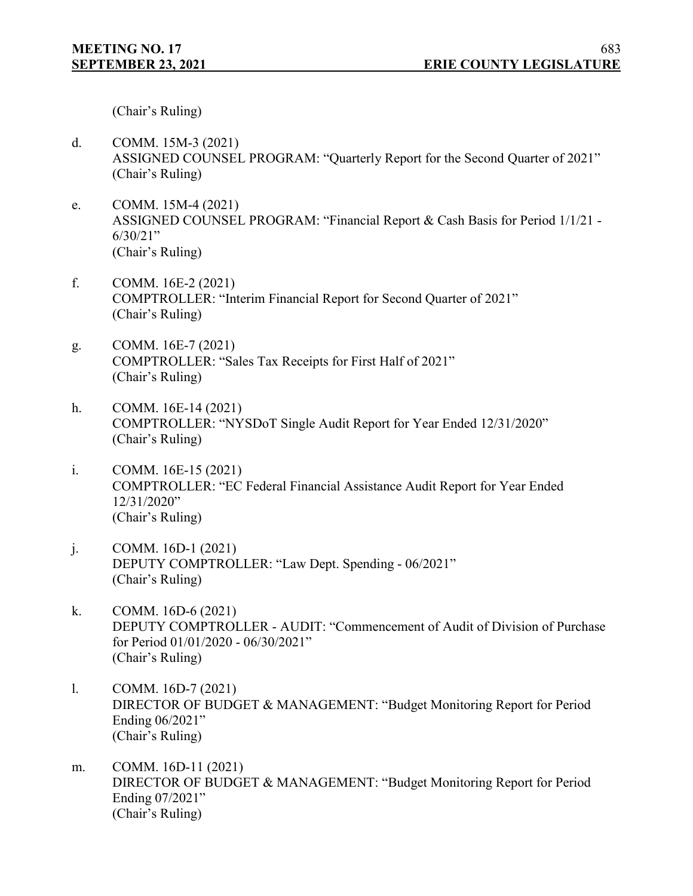(Chair's Ruling)

- d. COMM. 15M-3 (2021) ASSIGNED COUNSEL PROGRAM: "Quarterly Report for the Second Quarter of 2021" (Chair's Ruling)
- e. COMM. 15M-4 (2021) ASSIGNED COUNSEL PROGRAM: "Financial Report & Cash Basis for Period 1/1/21 - 6/30/21" (Chair's Ruling)
- f. COMM. 16E-2 (2021) COMPTROLLER: "Interim Financial Report for Second Quarter of 2021" (Chair's Ruling)
- g. COMM. 16E-7 (2021) COMPTROLLER: "Sales Tax Receipts for First Half of 2021" (Chair's Ruling)
- h. COMM. 16E-14 (2021) COMPTROLLER: "NYSDoT Single Audit Report for Year Ended 12/31/2020" (Chair's Ruling)
- i. COMM. 16E-15 (2021) COMPTROLLER: "EC Federal Financial Assistance Audit Report for Year Ended 12/31/2020" (Chair's Ruling)
- j. COMM. 16D-1 (2021) DEPUTY COMPTROLLER: "Law Dept. Spending - 06/2021" (Chair's Ruling)
- k. COMM. 16D-6 (2021) DEPUTY COMPTROLLER - AUDIT: "Commencement of Audit of Division of Purchase for Period 01/01/2020 - 06/30/2021" (Chair's Ruling)
- l. COMM. 16D-7 (2021) DIRECTOR OF BUDGET & MANAGEMENT: "Budget Monitoring Report for Period Ending 06/2021" (Chair's Ruling)
- m. COMM. 16D-11 (2021) DIRECTOR OF BUDGET & MANAGEMENT: "Budget Monitoring Report for Period Ending 07/2021" (Chair's Ruling)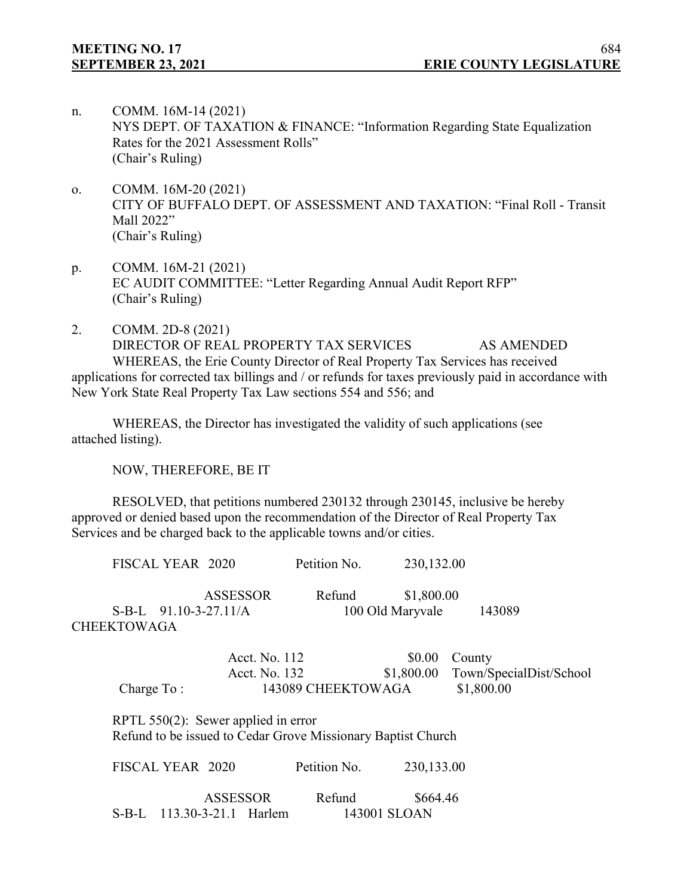- n. COMM. 16M-14 (2021) NYS DEPT. OF TAXATION & FINANCE: "Information Regarding State Equalization Rates for the 2021 Assessment Rolls" (Chair's Ruling)
- o. COMM. 16M-20 (2021) CITY OF BUFFALO DEPT. OF ASSESSMENT AND TAXATION: "Final Roll - Transit Mall 2022" (Chair's Ruling)
- p. COMM. 16M-21 (2021) EC AUDIT COMMITTEE: "Letter Regarding Annual Audit Report RFP" (Chair's Ruling)
- 2. COMM. 2D-8 (2021) DIRECTOR OF REAL PROPERTY TAX SERVICES AS AMENDED WHEREAS, the Erie County Director of Real Property Tax Services has received applications for corrected tax billings and / or refunds for taxes previously paid in accordance with New York State Real Property Tax Law sections 554 and 556; and

WHEREAS, the Director has investigated the validity of such applications (see attached listing).

NOW, THEREFORE, BE IT

RESOLVED, that petitions numbered 230132 through 230145, inclusive be hereby approved or denied based upon the recommendation of the Director of Real Property Tax Services and be charged back to the applicable towns and/or cities.

| FISCAL YEAR 2020                       |                                | Petition No.                                                 | 230,132.00                     |                                                 |
|----------------------------------------|--------------------------------|--------------------------------------------------------------|--------------------------------|-------------------------------------------------|
| $S-B-L$ 91.10-3-27.11/A<br>CHEEKTOWAGA | <b>ASSESSOR</b>                | Refund                                                       | \$1,800.00<br>100 Old Maryvale | 143089                                          |
| Charge $To:$                           | Acct. No. 112<br>Acct. No. 132 | 143089 CHEEKTOWAGA                                           | \$0.00<br>\$1,800.00           | County<br>Town/SpecialDist/School<br>\$1,800.00 |
| RPTL $550(2)$ : Sewer applied in error |                                | Refund to be issued to Cedar Grove Missionary Baptist Church |                                |                                                 |
| FISCAL YEAR 2020                       |                                | Petition No.                                                 | 230,133.00                     |                                                 |

| ASSESSOR                   | Refund | \$664.46     |
|----------------------------|--------|--------------|
| S-B-L 113.30-3-21.1 Harlem |        | 143001 SLOAN |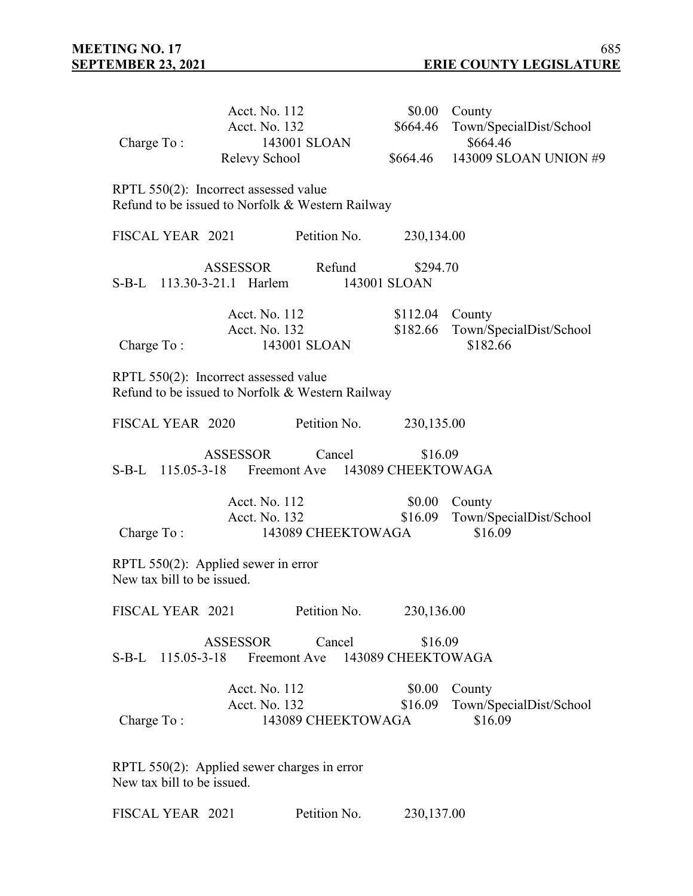| Charge To:                 | Acct. No. 112<br>Acct. No. 132<br>143001 SLOAN<br>Relevy School                           |                    | \$664.46                      | \$0.00 County<br>Town/SpecialDist/School<br>\$664.46<br>\$664.46 143009 SLOAN UNION #9 |
|----------------------------|-------------------------------------------------------------------------------------------|--------------------|-------------------------------|----------------------------------------------------------------------------------------|
|                            | RPTL 550(2): Incorrect assessed value<br>Refund to be issued to Norfolk & Western Railway |                    |                               |                                                                                        |
|                            | FISCAL YEAR 2021 Petition No.                                                             |                    | 230,134.00                    |                                                                                        |
|                            | ASSESSOR Refund<br>S-B-L 113.30-3-21.1 Harlem                                             |                    | \$294.70<br>143001 SLOAN      |                                                                                        |
| Charge To:                 | Acct. No. 112<br>Acct. No. 132<br>143001 SLOAN                                            |                    | $$112.04$ County<br>\$182.66  | Town/SpecialDist/School<br>\$182.66                                                    |
|                            | RPTL 550(2): Incorrect assessed value<br>Refund to be issued to Norfolk & Western Railway |                    |                               |                                                                                        |
|                            | FISCAL YEAR 2020 Petition No.                                                             |                    | 230,135.00                    |                                                                                        |
|                            | ASSESSOR<br>S-B-L 115.05-3-18 Freemont Ave 143089 CHEEKTOWAGA                             | Cancel             | \$16.09                       |                                                                                        |
| Charge To:                 | Acct. No. 112<br>Acct. No. 132                                                            | 143089 CHEEKTOWAGA | \$0.00<br>\$16.09             | County<br>Town/SpecialDist/School<br>\$16.09                                           |
| New tax bill to be issued. | RPTL $550(2)$ : Applied sewer in error                                                    |                    |                               |                                                                                        |
| FISCAL YEAR 2021           |                                                                                           | Petition No.       | 230,136.00                    |                                                                                        |
|                            | ASSESSOR<br>S-B-L 115.05-3-18 Freemont Ave                                                | Cancel             | \$16.09<br>143089 CHEEKTOWAGA |                                                                                        |
| Charge To:                 | Acct. No. 112<br>Acct. No. 132                                                            | 143089 CHEEKTOWAGA | \$0.00<br>\$16.09             | County<br>Town/SpecialDist/School<br>\$16.09                                           |
|                            | RPTL 550(2): Applied sewer charges in error                                               |                    |                               |                                                                                        |

New tax bill to be issued.

FISCAL YEAR 2021 Petition No. 230,137.00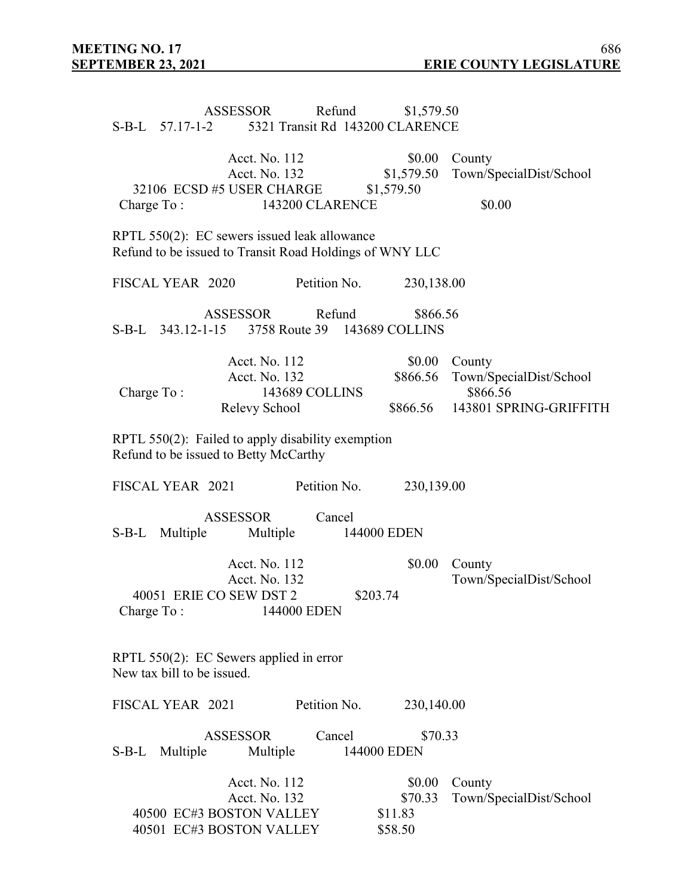|                            | ASSESSOR<br>S-B-L 57.17-1-2 5321 Transit Rd 143200 CLARENCE                                             | Refund         | \$1,579.50                              |                                                                         |
|----------------------------|---------------------------------------------------------------------------------------------------------|----------------|-----------------------------------------|-------------------------------------------------------------------------|
| Charge To:                 | Acct. No. 112<br>Acct. No. 132<br>32106 ECSD #5 USER CHARGE<br><b>143200 CLARENCE</b>                   |                | \$0.00<br>\$1,579.50<br>\$1,579.50      | County<br>Town/SpecialDist/School<br>\$0.00                             |
|                            | RPTL 550(2): EC sewers issued leak allowance<br>Refund to be issued to Transit Road Holdings of WNY LLC |                |                                         |                                                                         |
| FISCAL YEAR 2020           |                                                                                                         | Petition No.   | 230,138.00                              |                                                                         |
|                            | ASSESSOR<br>S-B-L 343.12-1-15 3758 Route 39 143689 COLLINS                                              | Refund         | \$866.56                                |                                                                         |
| Charge To:                 | Acct. No. 112<br>Acct. No. 132<br>Relevy School                                                         | 143689 COLLINS | \$0.00<br>\$866.56<br>\$866.56          | County<br>Town/SpecialDist/School<br>\$866.56<br>143801 SPRING-GRIFFITH |
|                            | RPTL 550(2): Failed to apply disability exemption<br>Refund to be issued to Betty McCarthy              |                |                                         |                                                                         |
| FISCAL YEAR 2021           |                                                                                                         | Petition No.   | 230,139.00                              |                                                                         |
| S-B-L Multiple             | ASSESSOR<br>Multiple                                                                                    | Cancel         | 144000 EDEN                             |                                                                         |
| Charge To:                 | Acct. No. 112<br>Acct. No. 132<br>40051 ERIE CO SEW DST 2<br>144000 EDEN                                |                | \$0.00<br>\$203.74                      | County<br>Town/SpecialDist/School                                       |
| New tax bill to be issued. | RPTL $550(2)$ : EC Sewers applied in error                                                              |                |                                         |                                                                         |
| FISCAL YEAR 2021           |                                                                                                         | Petition No.   | 230,140.00                              |                                                                         |
| Multiple<br>S-B-L          | <b>ASSESSOR</b><br>Multiple                                                                             | Cancel         | \$70.33<br>144000 EDEN                  |                                                                         |
|                            | Acct. No. 112<br>Acct. No. 132<br>40500 EC#3 BOSTON VALLEY<br>40501 EC#3 BOSTON VALLEY                  |                | \$0.00<br>\$70.33<br>\$11.83<br>\$58.50 | County<br>Town/SpecialDist/School                                       |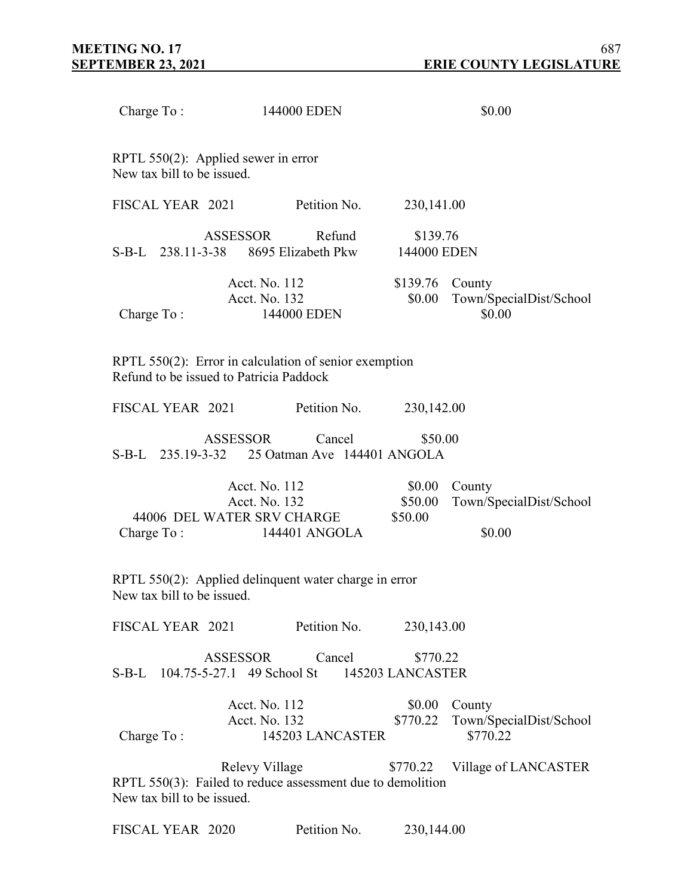| Charge To:                 | 144000 EDEN     |                                                                                                  |        |                              | \$0.00                                                        |
|----------------------------|-----------------|--------------------------------------------------------------------------------------------------|--------|------------------------------|---------------------------------------------------------------|
| New tax bill to be issued. |                 | RPTL $550(2)$ : Applied sewer in error                                                           |        |                              |                                                               |
| FISCAL YEAR 2021           |                 | Petition No.                                                                                     |        | 230,141.00                   |                                                               |
|                            | ASSESSOR        | S-B-L 238.11-3-38 8695 Elizabeth Pkw                                                             | Refund | \$139.76<br>144000 EDEN      |                                                               |
| Charge To:                 |                 | Acct. No. 112<br>Acct. No. 132<br>144000 EDEN                                                    |        | \$139.76 County<br>\$0.00    | Town/SpecialDist/School<br>\$0.00                             |
|                            |                 | RPTL 550(2): Error in calculation of senior exemption<br>Refund to be issued to Patricia Paddock |        |                              |                                                               |
| FISCAL YEAR 2021           |                 | Petition No.                                                                                     |        | 230,142.00                   |                                                               |
|                            | <b>ASSESSOR</b> | Cancel<br>S-B-L 235.19-3-32 25 Oatman Ave 144401 ANGOLA                                          |        | \$50.00                      |                                                               |
| Charge To:                 |                 | Acct. No. 112<br>Acct. No. 132<br>44006 DEL WATER SRV CHARGE<br>144401 ANGOLA                    |        | \$0.00<br>\$50.00<br>\$50.00 | County<br>Town/SpecialDist/School<br>\$0.00                   |
| New tax bill to be issued. |                 | RPTL 550(2): Applied delinquent water charge in error                                            |        |                              |                                                               |
|                            |                 | FISCAL YEAR 2021 Petition No.                                                                    |        | 230,143.00                   |                                                               |
|                            |                 | ASSESSOR<br>S-B-L 104.75-5-27.1 49 School St 145203 LANCASTER                                    | Cancel | \$770.22                     |                                                               |
| Charge To:                 |                 | Acct. No. 112<br>Acct. No. 132<br>145203 LANCASTER                                               |        |                              | \$0.00 County<br>\$770.22 Town/SpecialDist/School<br>\$770.22 |
| New tax bill to be issued. |                 | Relevy Village<br>RPTL 550(3): Failed to reduce assessment due to demolition                     |        | \$770.22                     | Village of LANCASTER                                          |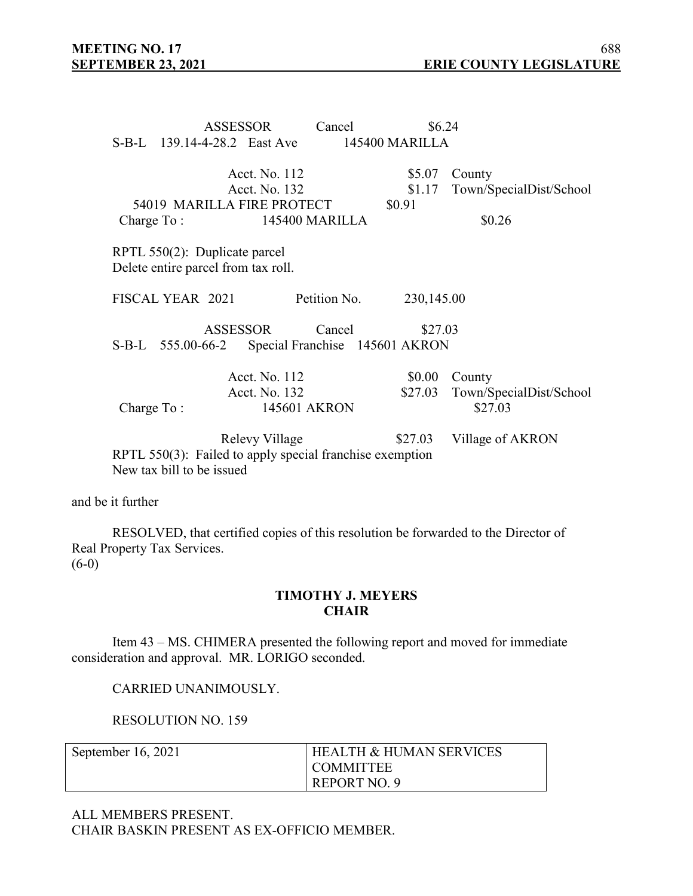|              |                               | ASSESSOR                            | Cancel                                                   | \$6.24         |                         |
|--------------|-------------------------------|-------------------------------------|----------------------------------------------------------|----------------|-------------------------|
|              |                               | S-B-L 139.14-4-28.2 East Ave        |                                                          | 145400 MARILLA |                         |
|              |                               | Acct. No. 112                       |                                                          | \$5.07         | County                  |
|              |                               | Acct. No. 132                       |                                                          | \$1.17         | Town/SpecialDist/School |
|              |                               | 54019 MARILLA FIRE PROTECT          |                                                          | \$0.91         |                         |
| Charge $To:$ |                               |                                     | 145400 MARILLA                                           |                | \$0.26                  |
|              | RPTL 550(2): Duplicate parcel | Delete entire parcel from tax roll. |                                                          |                |                         |
|              | FISCAL YEAR 2021              |                                     | Petition No.                                             | 230,145.00     |                         |
|              | S-B-L 555.00-66-2             | ASSESSOR                            | Cancel<br>Special Franchise 145601 AKRON                 | \$27.03        |                         |
|              |                               | Acct. No. 112                       |                                                          | \$0.00         | County                  |
|              |                               | Acct. No. 132                       |                                                          | \$27.03        | Town/SpecialDist/School |
| Charge To:   |                               |                                     | 145601 AKRON                                             |                | \$27.03                 |
|              |                               | Relevy Village                      |                                                          | \$27.03        | Village of AKRON        |
|              | New tax bill to be issued     |                                     | RPTL 550(3): Failed to apply special franchise exemption |                |                         |

and be it further

RESOLVED, that certified copies of this resolution be forwarded to the Director of Real Property Tax Services.  $(6-0)$ 

### **TIMOTHY J. MEYERS CHAIR**

Item 43 – MS. CHIMERA presented the following report and moved for immediate consideration and approval. MR. LORIGO seconded.

CARRIED UNANIMOUSLY.

RESOLUTION NO. 159

| September $16, 2021$ | I HEALTH & HUMAN SERVICES |
|----------------------|---------------------------|
|                      | I COMMITTEE               |
|                      | REPORT NO. 9              |

ALL MEMBERS PRESENT. CHAIR BASKIN PRESENT AS EX-OFFICIO MEMBER.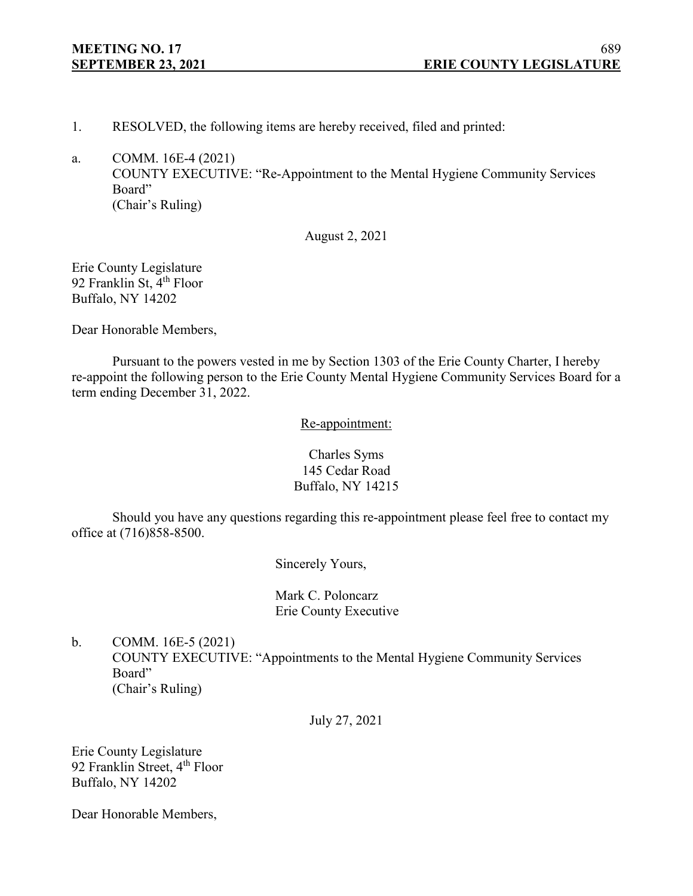- 1. RESOLVED, the following items are hereby received, filed and printed:
- a. COMM. 16E-4 (2021) COUNTY EXECUTIVE: "Re-Appointment to the Mental Hygiene Community Services Board" (Chair's Ruling)

August 2, 2021

Erie County Legislature 92 Franklin St, 4<sup>th</sup> Floor Buffalo, NY 14202

Dear Honorable Members,

Pursuant to the powers vested in me by Section 1303 of the Erie County Charter, I hereby re-appoint the following person to the Erie County Mental Hygiene Community Services Board for a term ending December 31, 2022.

Re-appointment:

Charles Syms 145 Cedar Road Buffalo, NY 14215

Should you have any questions regarding this re-appointment please feel free to contact my office at (716)858-8500.

Sincerely Yours,

Mark C. Poloncarz Erie County Executive

b. COMM. 16E-5 (2021) COUNTY EXECUTIVE: "Appointments to the Mental Hygiene Community Services Board" (Chair's Ruling)

July 27, 2021

Erie County Legislature 92 Franklin Street, 4<sup>th</sup> Floor Buffalo, NY 14202

Dear Honorable Members,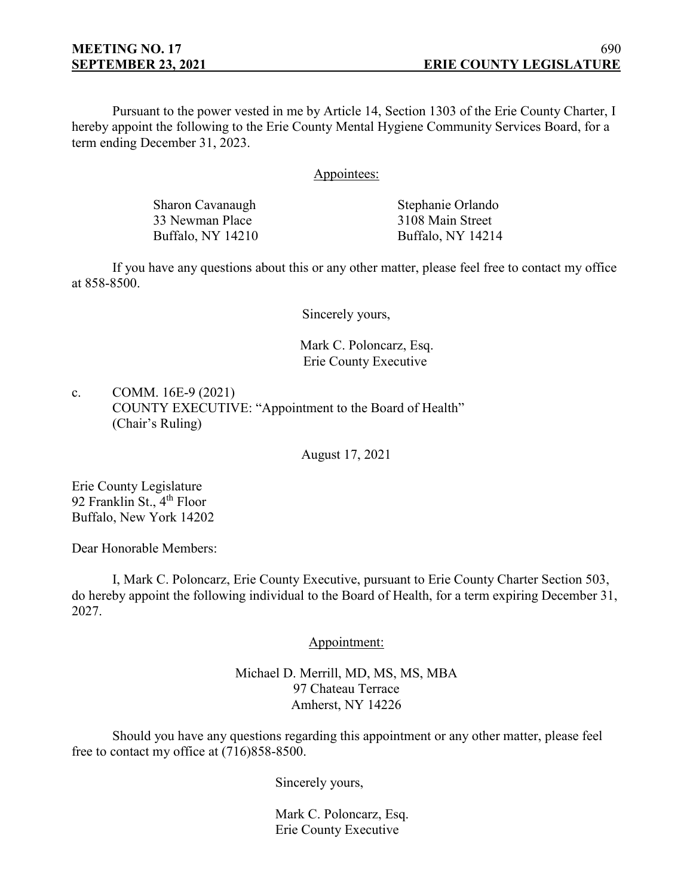Pursuant to the power vested in me by Article 14, Section 1303 of the Erie County Charter, I hereby appoint the following to the Erie County Mental Hygiene Community Services Board, for a term ending December 31, 2023.

### Appointees:

| Stephanie Orlando |
|-------------------|
| 3108 Main Street  |
| Buffalo, NY 14214 |
|                   |

If you have any questions about this or any other matter, please feel free to contact my office at 858-8500.

Sincerely yours,

# Mark C. Poloncarz, Esq. Erie County Executive

c. COMM. 16E-9 (2021) COUNTY EXECUTIVE: "Appointment to the Board of Health" (Chair's Ruling)

August 17, 2021

Erie County Legislature 92 Franklin St., 4<sup>th</sup> Floor Buffalo, New York 14202

Dear Honorable Members:

I, Mark C. Poloncarz, Erie County Executive, pursuant to Erie County Charter Section 503, do hereby appoint the following individual to the Board of Health, for a term expiring December 31, 2027.

Appointment:

Michael D. Merrill, MD, MS, MS, MBA 97 Chateau Terrace Amherst, NY 14226

Should you have any questions regarding this appointment or any other matter, please feel free to contact my office at (716)858-8500.

Sincerely yours,

Mark C. Poloncarz, Esq. Erie County Executive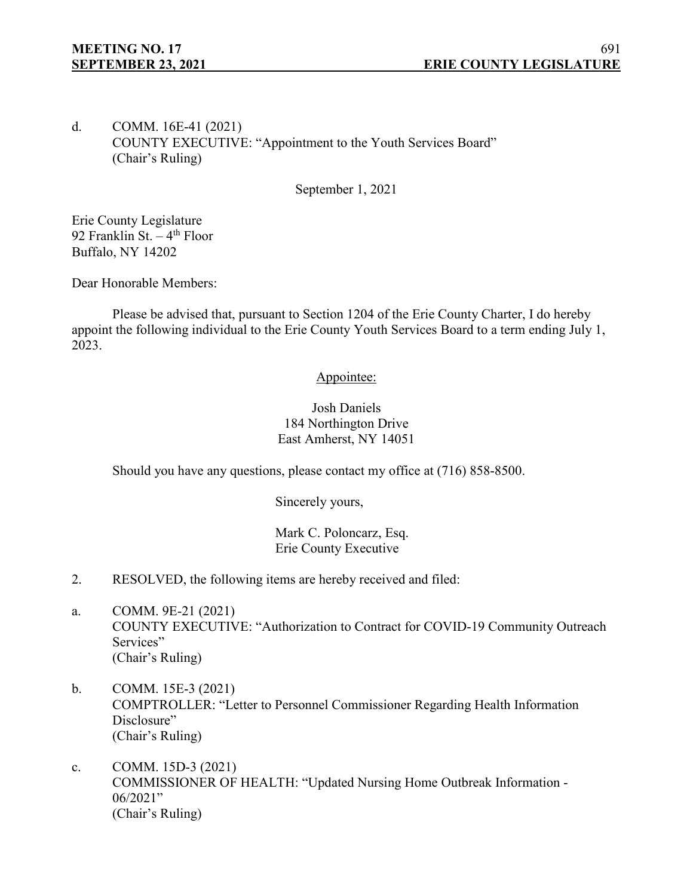# d. COMM. 16E-41 (2021) COUNTY EXECUTIVE: "Appointment to the Youth Services Board" (Chair's Ruling)

September 1, 2021

Erie County Legislature 92 Franklin St.  $-4$ <sup>th</sup> Floor Buffalo, NY 14202

Dear Honorable Members:

Please be advised that, pursuant to Section 1204 of the Erie County Charter, I do hereby appoint the following individual to the Erie County Youth Services Board to a term ending July 1, 2023.

# Appointee:

# Josh Daniels 184 Northington Drive East Amherst, NY 14051

Should you have any questions, please contact my office at (716) 858-8500.

Sincerely yours,

Mark C. Poloncarz, Esq. Erie County Executive

- 2. RESOLVED, the following items are hereby received and filed:
- a. COMM. 9E-21 (2021) COUNTY EXECUTIVE: "Authorization to Contract for COVID-19 Community Outreach Services" (Chair's Ruling)
- b. COMM. 15E-3 (2021) COMPTROLLER: "Letter to Personnel Commissioner Regarding Health Information Disclosure" (Chair's Ruling)
- c. COMM. 15D-3 (2021) COMMISSIONER OF HEALTH: "Updated Nursing Home Outbreak Information - 06/2021" (Chair's Ruling)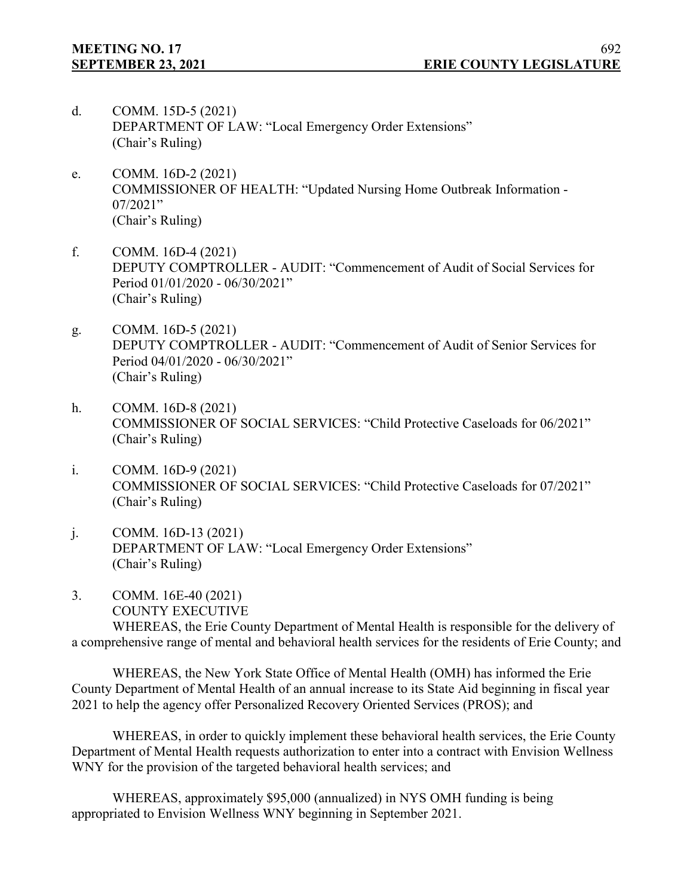- d. COMM. 15D-5 (2021) DEPARTMENT OF LAW: "Local Emergency Order Extensions" (Chair's Ruling)
- e. COMM. 16D-2 (2021) COMMISSIONER OF HEALTH: "Updated Nursing Home Outbreak Information - 07/2021" (Chair's Ruling)
- f. COMM. 16D-4 (2021) DEPUTY COMPTROLLER - AUDIT: "Commencement of Audit of Social Services for Period 01/01/2020 - 06/30/2021" (Chair's Ruling)
- g. COMM. 16D-5 (2021) DEPUTY COMPTROLLER - AUDIT: "Commencement of Audit of Senior Services for Period 04/01/2020 - 06/30/2021" (Chair's Ruling)
- h. COMM. 16D-8 (2021) COMMISSIONER OF SOCIAL SERVICES: "Child Protective Caseloads for 06/2021" (Chair's Ruling)
- i. COMM. 16D-9 (2021) COMMISSIONER OF SOCIAL SERVICES: "Child Protective Caseloads for 07/2021" (Chair's Ruling)
- j. COMM. 16D-13 (2021) DEPARTMENT OF LAW: "Local Emergency Order Extensions" (Chair's Ruling)
- 3. COMM. 16E-40 (2021) COUNTY EXECUTIVE

WHEREAS, the Erie County Department of Mental Health is responsible for the delivery of a comprehensive range of mental and behavioral health services for the residents of Erie County; and

WHEREAS, the New York State Office of Mental Health (OMH) has informed the Erie County Department of Mental Health of an annual increase to its State Aid beginning in fiscal year 2021 to help the agency offer Personalized Recovery Oriented Services (PROS); and

WHEREAS, in order to quickly implement these behavioral health services, the Erie County Department of Mental Health requests authorization to enter into a contract with Envision Wellness WNY for the provision of the targeted behavioral health services; and

WHEREAS, approximately \$95,000 (annualized) in NYS OMH funding is being appropriated to Envision Wellness WNY beginning in September 2021.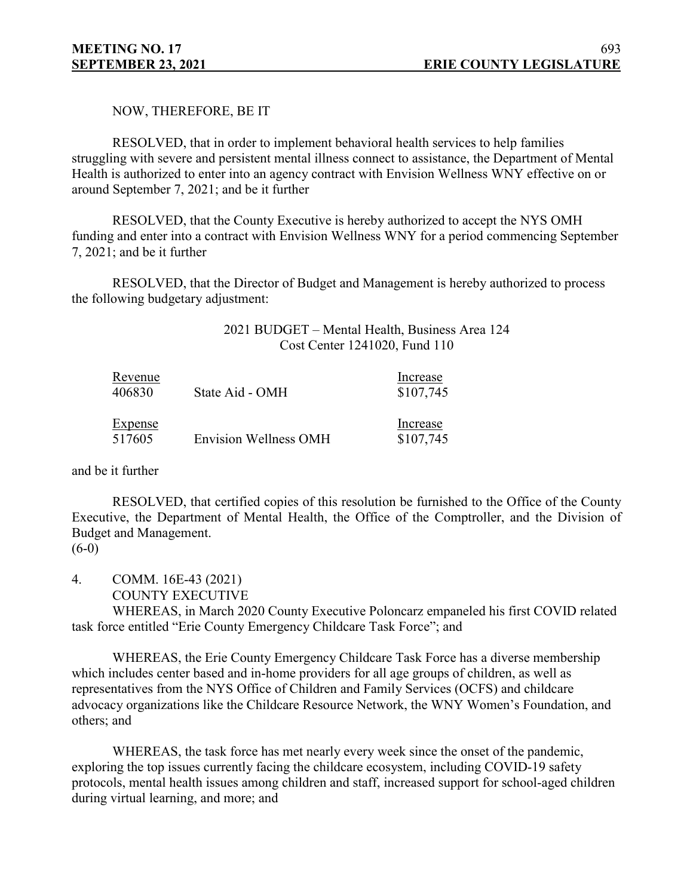NOW, THEREFORE, BE IT

RESOLVED, that in order to implement behavioral health services to help families struggling with severe and persistent mental illness connect to assistance, the Department of Mental Health is authorized to enter into an agency contract with Envision Wellness WNY effective on or around September 7, 2021; and be it further

RESOLVED, that the County Executive is hereby authorized to accept the NYS OMH funding and enter into a contract with Envision Wellness WNY for a period commencing September 7, 2021; and be it further

RESOLVED, that the Director of Budget and Management is hereby authorized to process the following budgetary adjustment:

> 2021 BUDGET – Mental Health, Business Area 124 Cost Center 1241020, Fund 110

| Revenue<br>406830 | State Aid - OMH              | Increase<br>\$107,745 |
|-------------------|------------------------------|-----------------------|
| Expense<br>517605 | <b>Envision Wellness OMH</b> | Increase<br>\$107,745 |

and be it further

RESOLVED, that certified copies of this resolution be furnished to the Office of the County Executive, the Department of Mental Health, the Office of the Comptroller, and the Division of Budget and Management.

 $(6-0)$ 

4. COMM. 16E-43 (2021)

COUNTY EXECUTIVE

WHEREAS, in March 2020 County Executive Poloncarz empaneled his first COVID related task force entitled "Erie County Emergency Childcare Task Force"; and

WHEREAS, the Erie County Emergency Childcare Task Force has a diverse membership which includes center based and in-home providers for all age groups of children, as well as representatives from the NYS Office of Children and Family Services (OCFS) and childcare advocacy organizations like the Childcare Resource Network, the WNY Women's Foundation, and others; and

WHEREAS, the task force has met nearly every week since the onset of the pandemic, exploring the top issues currently facing the childcare ecosystem, including COVID-19 safety protocols, mental health issues among children and staff, increased support for school-aged children during virtual learning, and more; and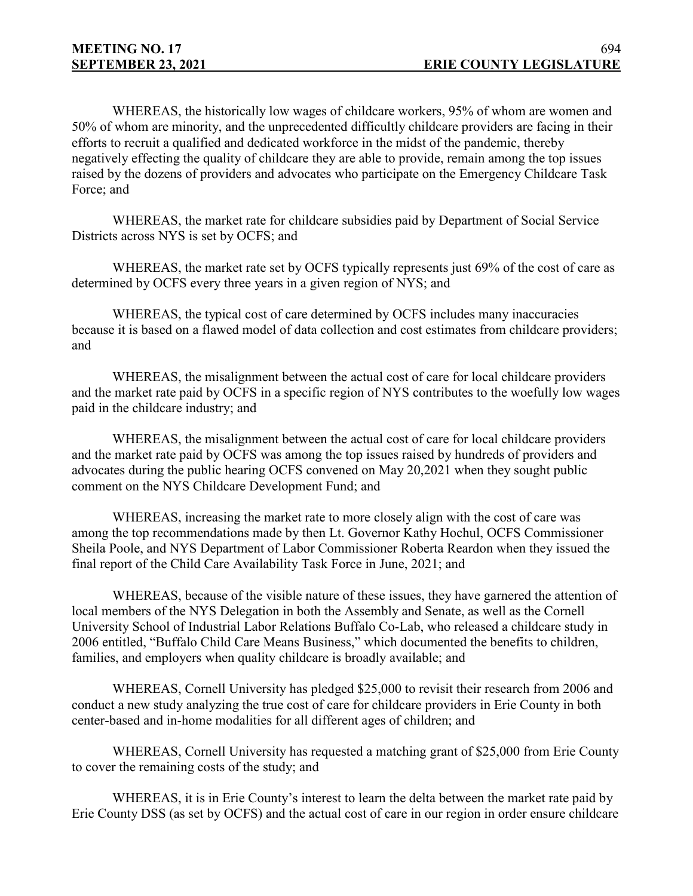WHEREAS, the historically low wages of childcare workers, 95% of whom are women and 50% of whom are minority, and the unprecedented difficultly childcare providers are facing in their efforts to recruit a qualified and dedicated workforce in the midst of the pandemic, thereby negatively effecting the quality of childcare they are able to provide, remain among the top issues raised by the dozens of providers and advocates who participate on the Emergency Childcare Task Force; and

WHEREAS, the market rate for childcare subsidies paid by Department of Social Service Districts across NYS is set by OCFS; and

WHEREAS, the market rate set by OCFS typically represents just 69% of the cost of care as determined by OCFS every three years in a given region of NYS; and

WHEREAS, the typical cost of care determined by OCFS includes many inaccuracies because it is based on a flawed model of data collection and cost estimates from childcare providers; and

WHEREAS, the misalignment between the actual cost of care for local childcare providers and the market rate paid by OCFS in a specific region of NYS contributes to the woefully low wages paid in the childcare industry; and

WHEREAS, the misalignment between the actual cost of care for local childcare providers and the market rate paid by OCFS was among the top issues raised by hundreds of providers and advocates during the public hearing OCFS convened on May 20,2021 when they sought public comment on the NYS Childcare Development Fund; and

WHEREAS, increasing the market rate to more closely align with the cost of care was among the top recommendations made by then Lt. Governor Kathy Hochul, OCFS Commissioner Sheila Poole, and NYS Department of Labor Commissioner Roberta Reardon when they issued the final report of the Child Care Availability Task Force in June, 2021; and

WHEREAS, because of the visible nature of these issues, they have garnered the attention of local members of the NYS Delegation in both the Assembly and Senate, as well as the Cornell University School of Industrial Labor Relations Buffalo Co-Lab, who released a childcare study in 2006 entitled, "Buffalo Child Care Means Business," which documented the benefits to children, families, and employers when quality childcare is broadly available; and

WHEREAS, Cornell University has pledged \$25,000 to revisit their research from 2006 and conduct a new study analyzing the true cost of care for childcare providers in Erie County in both center-based and in-home modalities for all different ages of children; and

WHEREAS, Cornell University has requested a matching grant of \$25,000 from Erie County to cover the remaining costs of the study; and

WHEREAS, it is in Erie County's interest to learn the delta between the market rate paid by Erie County DSS (as set by OCFS) and the actual cost of care in our region in order ensure childcare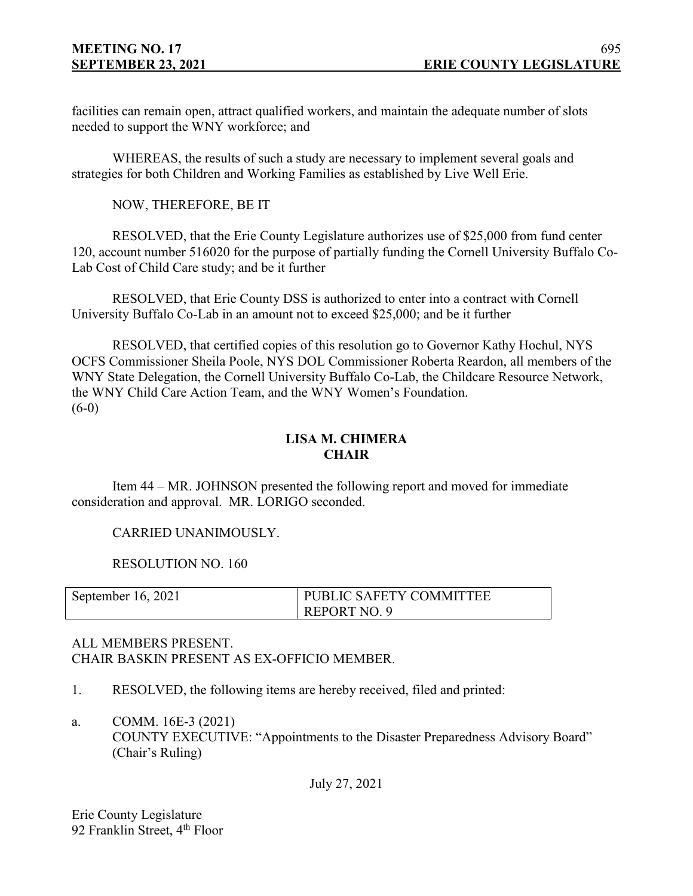facilities can remain open, attract qualified workers, and maintain the adequate number of slots needed to support the WNY workforce; and

WHEREAS, the results of such a study are necessary to implement several goals and strategies for both Children and Working Families as established by Live Well Erie.

NOW, THEREFORE, BE IT

RESOLVED, that the Erie County Legislature authorizes use of \$25,000 from fund center 120, account number 516020 for the purpose of partially funding the Cornell University Buffalo Co-Lab Cost of Child Care study; and be it further

RESOLVED, that Erie County DSS is authorized to enter into a contract with Cornell University Buffalo Co-Lab in an amount not to exceed \$25,000; and be it further

RESOLVED, that certified copies of this resolution go to Governor Kathy Hochul, NYS OCFS Commissioner Sheila Poole, NYS DOL Commissioner Roberta Reardon, all members of the WNY State Delegation, the Cornell University Buffalo Co-Lab, the Childcare Resource Network, the WNY Child Care Action Team, and the WNY Women's Foundation.  $(6-0)$ 

# **LISA M. CHIMERA CHAIR**

Item 44 – MR. JOHNSON presented the following report and moved for immediate consideration and approval. MR. LORIGO seconded.

CARRIED UNANIMOUSLY.

RESOLUTION NO. 160

| September 16, 2021 | PUBLIC SAFETY COMMITTEE |
|--------------------|-------------------------|
|                    | REPORT NO. 9            |

# ALL MEMBERS PRESENT. CHAIR BASKIN PRESENT AS EX-OFFICIO MEMBER.

- 1. RESOLVED, the following items are hereby received, filed and printed:
- a. COMM. 16E-3 (2021) COUNTY EXECUTIVE: "Appointments to the Disaster Preparedness Advisory Board" (Chair's Ruling)

July 27, 2021

Erie County Legislature 92 Franklin Street, 4<sup>th</sup> Floor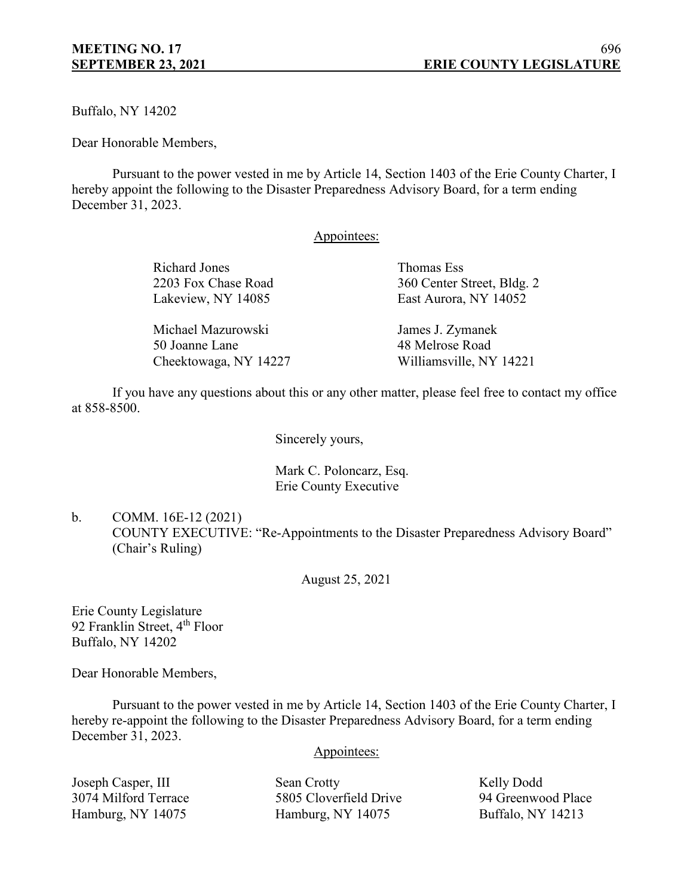Buffalo, NY 14202

Dear Honorable Members,

Pursuant to the power vested in me by Article 14, Section 1403 of the Erie County Charter, I hereby appoint the following to the Disaster Preparedness Advisory Board, for a term ending December 31, 2023.

### Appointees:

| Richard Jones       | Thomas Ess                 |
|---------------------|----------------------------|
| 2203 Fox Chase Road | 360 Center Street, Bldg. 2 |
| Lakeview, NY 14085  | East Aurora, NY 14052      |
| Michael Mazurowski  | James J. Zymanek           |
| 50 Joanne Lane      | 48 Melrose Road            |

If you have any questions about this or any other matter, please feel free to contact my office at 858-8500.

Cheektowaga, NY 14227 Williamsville, NY 14221

Sincerely yours,

Mark C. Poloncarz, Esq. Erie County Executive

b. COMM. 16E-12 (2021) COUNTY EXECUTIVE: "Re-Appointments to the Disaster Preparedness Advisory Board" (Chair's Ruling)

August 25, 2021

Erie County Legislature 92 Franklin Street, 4<sup>th</sup> Floor Buffalo, NY 14202

Dear Honorable Members,

Pursuant to the power vested in me by Article 14, Section 1403 of the Erie County Charter, I hereby re-appoint the following to the Disaster Preparedness Advisory Board, for a term ending December 31, 2023.

### Appointees:

Joseph Casper, III Sean Crotty Kelly Dodd 3074 Milford Terrace 5805 Cloverfield Drive 94 Greenwood Place Hamburg, NY 14075 Hamburg, NY 14075 Buffalo, NY 14213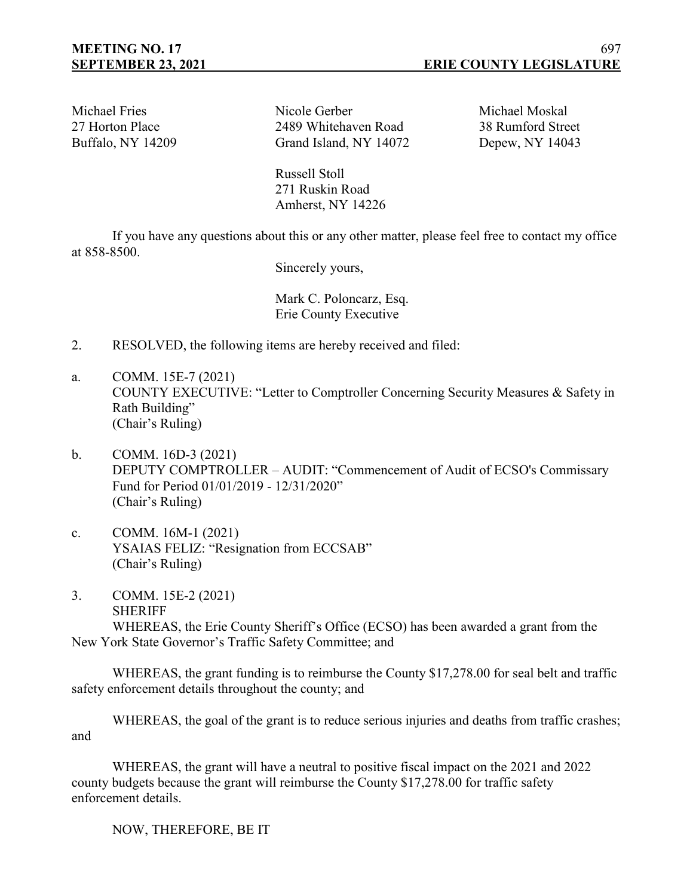Michael Fries Nicole Gerber Michael Moskal 27 Horton Place 2489 Whitehaven Road 38 Rumford Street Buffalo, NY 14209 Grand Island, NY 14072 Depew, NY 14043

Russell Stoll 271 Ruskin Road Amherst, NY 14226

If you have any questions about this or any other matter, please feel free to contact my office at 858-8500.

Sincerely yours,

Mark C. Poloncarz, Esq. Erie County Executive

- 2. RESOLVED, the following items are hereby received and filed:
- a. COMM. 15E-7 (2021) COUNTY EXECUTIVE: "Letter to Comptroller Concerning Security Measures & Safety in Rath Building" (Chair's Ruling)
- b. COMM. 16D-3 (2021) DEPUTY COMPTROLLER – AUDIT: "Commencement of Audit of ECSO's Commissary Fund for Period 01/01/2019 - 12/31/2020" (Chair's Ruling)
- c. COMM. 16M-1 (2021) YSAIAS FELIZ: "Resignation from ECCSAB" (Chair's Ruling)
- 3. COMM. 15E-2 (2021) SHERIFF

WHEREAS, the Erie County Sheriff's Office (ECSO) has been awarded a grant from the New York State Governor's Traffic Safety Committee; and

WHEREAS, the grant funding is to reimburse the County \$17,278.00 for seal belt and traffic safety enforcement details throughout the county; and

WHEREAS, the goal of the grant is to reduce serious injuries and deaths from traffic crashes; and

WHEREAS, the grant will have a neutral to positive fiscal impact on the 2021 and 2022 county budgets because the grant will reimburse the County \$17,278.00 for traffic safety enforcement details.

NOW, THEREFORE, BE IT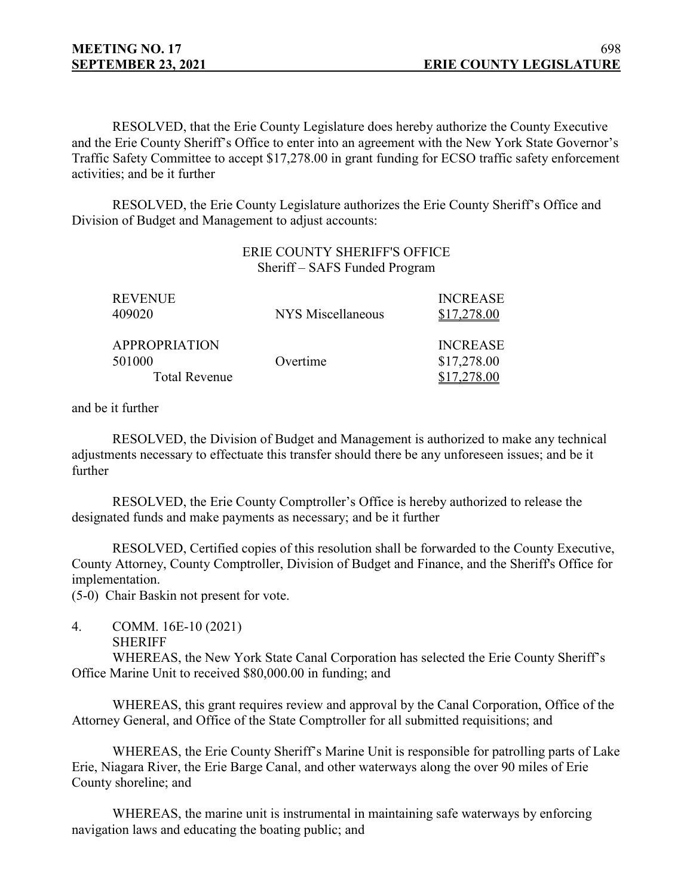RESOLVED, that the Erie County Legislature does hereby authorize the County Executive and the Erie County Sheriff's Office to enter into an agreement with the New York State Governor's Traffic Safety Committee to accept \$17,278.00 in grant funding for ECSO traffic safety enforcement activities; and be it further

RESOLVED, the Erie County Legislature authorizes the Erie County Sheriff's Office and Division of Budget and Management to adjust accounts:

## ERIE COUNTY SHERIFF'S OFFICE Sheriff – SAFS Funded Program

| REVENUE<br>409020    | NYS Miscellaneous | <b>INCREASE</b><br>\$17,278.00 |
|----------------------|-------------------|--------------------------------|
| <b>APPROPRIATION</b> |                   | <b>INCREASE</b>                |
| 501000               | Overtime          | \$17,278.00                    |
| <b>Total Revenue</b> |                   |                                |

and be it further

RESOLVED, the Division of Budget and Management is authorized to make any technical adjustments necessary to effectuate this transfer should there be any unforeseen issues; and be it further

RESOLVED, the Erie County Comptroller's Office is hereby authorized to release the designated funds and make payments as necessary; and be it further

RESOLVED, Certified copies of this resolution shall be forwarded to the County Executive, County Attorney, County Comptroller, Division of Budget and Finance, and the Sheriff's Office for implementation.

(5-0) Chair Baskin not present for vote.

4. COMM. 16E-10 (2021) SHERIFF

WHEREAS, the New York State Canal Corporation has selected the Erie County Sheriff's Office Marine Unit to received \$80,000.00 in funding; and

WHEREAS, this grant requires review and approval by the Canal Corporation, Office of the Attorney General, and Office of the State Comptroller for all submitted requisitions; and

WHEREAS, the Erie County Sheriff's Marine Unit is responsible for patrolling parts of Lake Erie, Niagara River, the Erie Barge Canal, and other waterways along the over 90 miles of Erie County shoreline; and

WHEREAS, the marine unit is instrumental in maintaining safe waterways by enforcing navigation laws and educating the boating public; and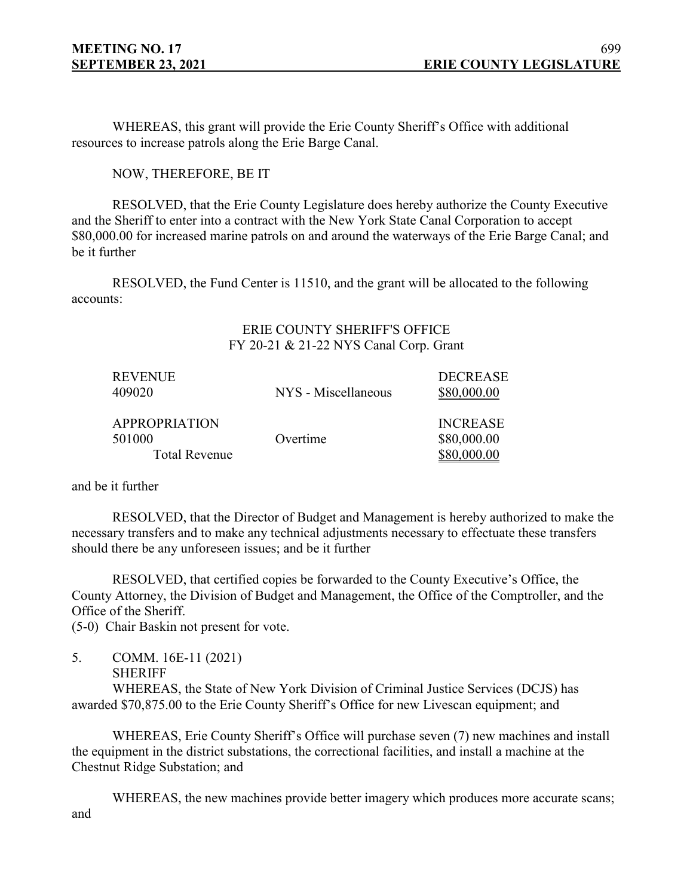WHEREAS, this grant will provide the Erie County Sheriff's Office with additional resources to increase patrols along the Erie Barge Canal.

NOW, THEREFORE, BE IT

RESOLVED, that the Erie County Legislature does hereby authorize the County Executive and the Sheriff to enter into a contract with the New York State Canal Corporation to accept \$80,000.00 for increased marine patrols on and around the waterways of the Erie Barge Canal; and be it further

RESOLVED, the Fund Center is 11510, and the grant will be allocated to the following accounts:

## ERIE COUNTY SHERIFF'S OFFICE FY 20-21 & 21-22 NYS Canal Corp. Grant

| <b>REVENUE</b><br>409020 | NYS - Miscellaneous | <b>DECREASE</b><br>\$80,000.00 |
|--------------------------|---------------------|--------------------------------|
| <b>APPROPRIATION</b>     |                     | <b>INCREASE</b>                |
| 501000                   | Overtime            | \$80,000.00                    |
| <b>Total Revenue</b>     |                     |                                |

and be it further

RESOLVED, that the Director of Budget and Management is hereby authorized to make the necessary transfers and to make any technical adjustments necessary to effectuate these transfers should there be any unforeseen issues; and be it further

RESOLVED, that certified copies be forwarded to the County Executive's Office, the County Attorney, the Division of Budget and Management, the Office of the Comptroller, and the Office of the Sheriff.

(5-0) Chair Baskin not present for vote.

- 5. COMM. 16E-11 (2021)
	- SHERIFF

WHEREAS, the State of New York Division of Criminal Justice Services (DCJS) has awarded \$70,875.00 to the Erie County Sheriff's Office for new Livescan equipment; and

WHEREAS, Erie County Sheriff's Office will purchase seven (7) new machines and install the equipment in the district substations, the correctional facilities, and install a machine at the Chestnut Ridge Substation; and

WHEREAS, the new machines provide better imagery which produces more accurate scans; and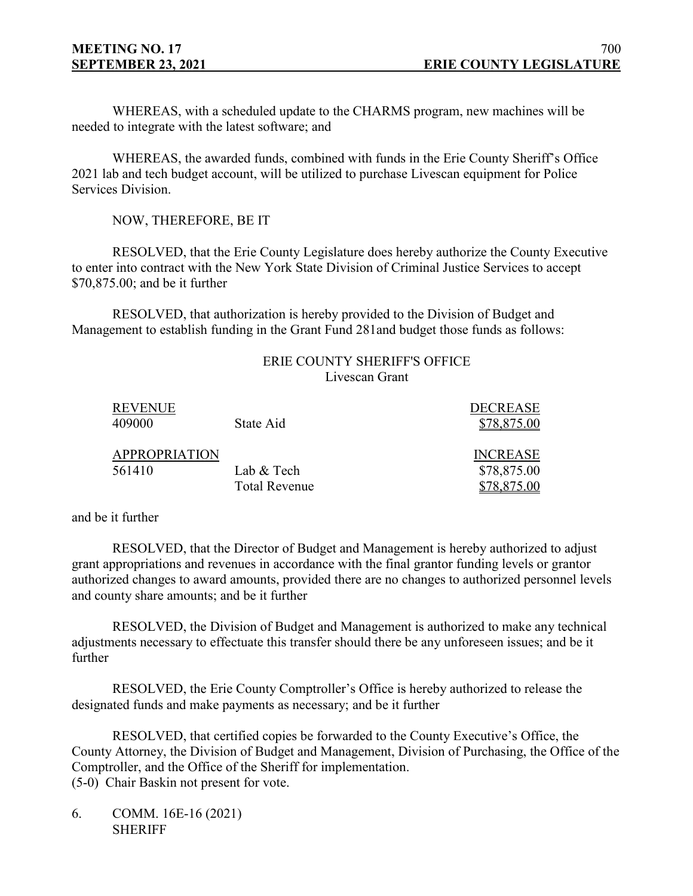WHEREAS, with a scheduled update to the CHARMS program, new machines will be needed to integrate with the latest software; and

WHEREAS, the awarded funds, combined with funds in the Erie County Sheriff's Office 2021 lab and tech budget account, will be utilized to purchase Livescan equipment for Police Services Division.

NOW, THEREFORE, BE IT

RESOLVED, that the Erie County Legislature does hereby authorize the County Executive to enter into contract with the New York State Division of Criminal Justice Services to accept \$70,875.00; and be it further

RESOLVED, that authorization is hereby provided to the Division of Budget and Management to establish funding in the Grant Fund 281and budget those funds as follows:

## ERIE COUNTY SHERIFF'S OFFICE Livescan Grant

| <b>REVENUE</b><br>409000 | State Aid            | <b>DECREASE</b><br>\$78,875.00 |
|--------------------------|----------------------|--------------------------------|
| <b>APPROPRIATION</b>     |                      | <b>INCREASE</b>                |
| 561410                   | Lab & Tech           | \$78,875.00                    |
|                          | <b>Total Revenue</b> | \$78,875.00                    |

and be it further

RESOLVED, that the Director of Budget and Management is hereby authorized to adjust grant appropriations and revenues in accordance with the final grantor funding levels or grantor authorized changes to award amounts, provided there are no changes to authorized personnel levels and county share amounts; and be it further

RESOLVED, the Division of Budget and Management is authorized to make any technical adjustments necessary to effectuate this transfer should there be any unforeseen issues; and be it further

RESOLVED, the Erie County Comptroller's Office is hereby authorized to release the designated funds and make payments as necessary; and be it further

RESOLVED, that certified copies be forwarded to the County Executive's Office, the County Attorney, the Division of Budget and Management, Division of Purchasing, the Office of the Comptroller, and the Office of the Sheriff for implementation. (5-0) Chair Baskin not present for vote.

6. COMM. 16E-16 (2021) **SHERIFF**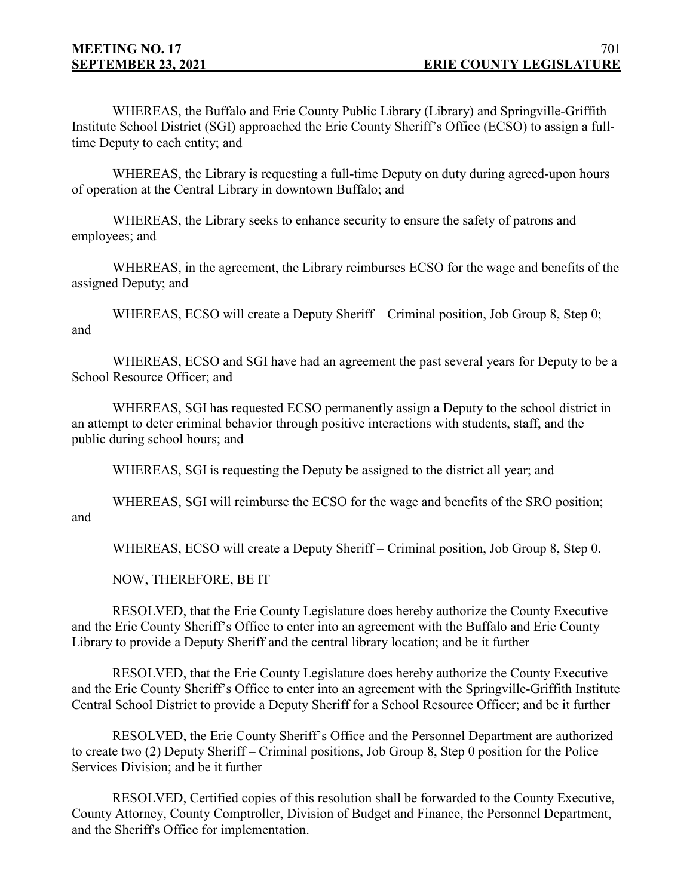WHEREAS, the Buffalo and Erie County Public Library (Library) and Springville-Griffith Institute School District (SGI) approached the Erie County Sheriff's Office (ECSO) to assign a fulltime Deputy to each entity; and

WHEREAS, the Library is requesting a full-time Deputy on duty during agreed-upon hours of operation at the Central Library in downtown Buffalo; and

WHEREAS, the Library seeks to enhance security to ensure the safety of patrons and employees; and

WHEREAS, in the agreement, the Library reimburses ECSO for the wage and benefits of the assigned Deputy; and

WHEREAS, ECSO will create a Deputy Sheriff – Criminal position, Job Group 8, Step 0; and

WHEREAS, ECSO and SGI have had an agreement the past several years for Deputy to be a School Resource Officer; and

WHEREAS, SGI has requested ECSO permanently assign a Deputy to the school district in an attempt to deter criminal behavior through positive interactions with students, staff, and the public during school hours; and

WHEREAS, SGI is requesting the Deputy be assigned to the district all year; and

WHEREAS, SGI will reimburse the ECSO for the wage and benefits of the SRO position;

and

WHEREAS, ECSO will create a Deputy Sheriff – Criminal position, Job Group 8, Step 0.

NOW, THEREFORE, BE IT

RESOLVED, that the Erie County Legislature does hereby authorize the County Executive and the Erie County Sheriff's Office to enter into an agreement with the Buffalo and Erie County Library to provide a Deputy Sheriff and the central library location; and be it further

RESOLVED, that the Erie County Legislature does hereby authorize the County Executive and the Erie County Sheriff's Office to enter into an agreement with the Springville-Griffith Institute Central School District to provide a Deputy Sheriff for a School Resource Officer; and be it further

RESOLVED, the Erie County Sheriff's Office and the Personnel Department are authorized to create two (2) Deputy Sheriff – Criminal positions, Job Group 8, Step 0 position for the Police Services Division; and be it further

RESOLVED, Certified copies of this resolution shall be forwarded to the County Executive, County Attorney, County Comptroller, Division of Budget and Finance, the Personnel Department, and the Sheriff's Office for implementation.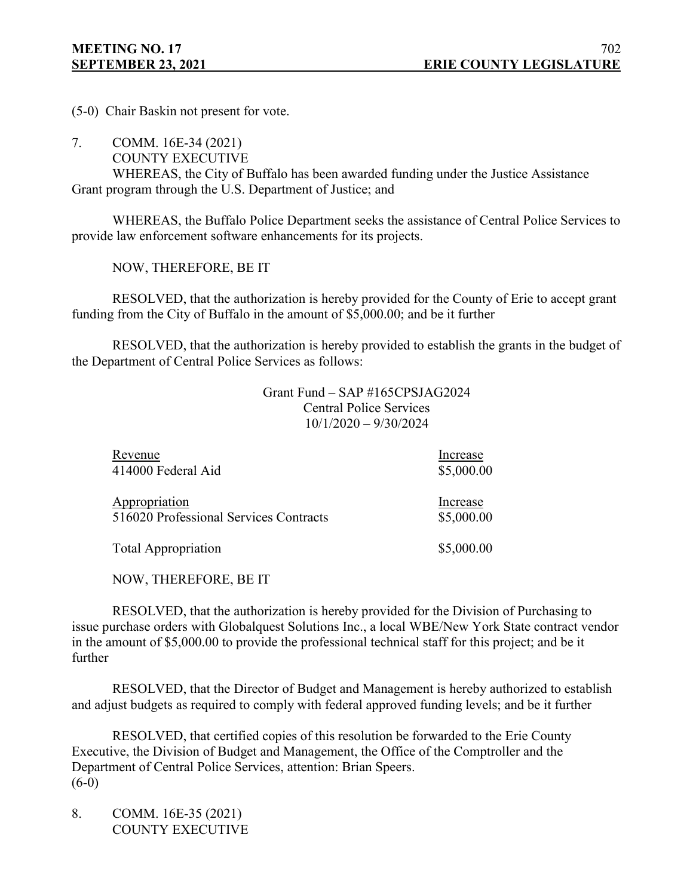(5-0) Chair Baskin not present for vote.

7. COMM. 16E-34 (2021)

COUNTY EXECUTIVE

WHEREAS, the City of Buffalo has been awarded funding under the Justice Assistance Grant program through the U.S. Department of Justice; and

WHEREAS, the Buffalo Police Department seeks the assistance of Central Police Services to provide law enforcement software enhancements for its projects.

NOW, THEREFORE, BE IT

RESOLVED, that the authorization is hereby provided for the County of Erie to accept grant funding from the City of Buffalo in the amount of \$5,000.00; and be it further

RESOLVED, that the authorization is hereby provided to establish the grants in the budget of the Department of Central Police Services as follows:

> Grant Fund – SAP #165CPSJAG2024 Central Police Services 10/1/2020 – 9/30/2024

| Revenue                                | Increase   |
|----------------------------------------|------------|
| 414000 Federal Aid                     | \$5,000.00 |
| Appropriation                          | Increase   |
| 516020 Professional Services Contracts | \$5,000.00 |
| <b>Total Appropriation</b>             | \$5,000.00 |

NOW, THEREFORE, BE IT

RESOLVED, that the authorization is hereby provided for the Division of Purchasing to issue purchase orders with Globalquest Solutions Inc., a local WBE/New York State contract vendor in the amount of \$5,000.00 to provide the professional technical staff for this project; and be it further

RESOLVED, that the Director of Budget and Management is hereby authorized to establish and adjust budgets as required to comply with federal approved funding levels; and be it further

RESOLVED, that certified copies of this resolution be forwarded to the Erie County Executive, the Division of Budget and Management, the Office of the Comptroller and the Department of Central Police Services, attention: Brian Speers. (6-0)

8. COMM. 16E-35 (2021) COUNTY EXECUTIVE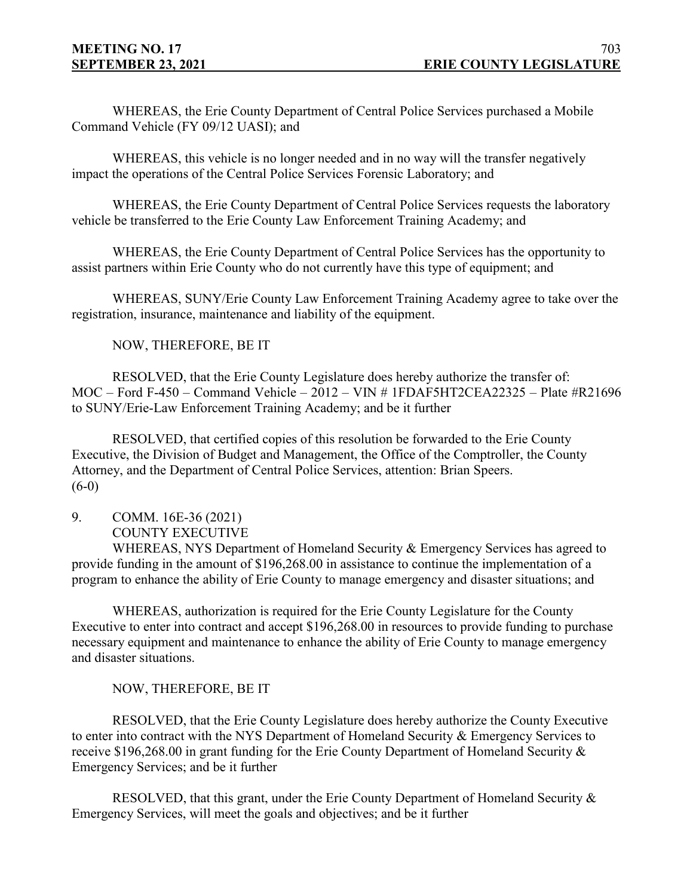WHEREAS, the Erie County Department of Central Police Services purchased a Mobile Command Vehicle (FY 09/12 UASI); and

WHEREAS, this vehicle is no longer needed and in no way will the transfer negatively impact the operations of the Central Police Services Forensic Laboratory; and

WHEREAS, the Erie County Department of Central Police Services requests the laboratory vehicle be transferred to the Erie County Law Enforcement Training Academy; and

WHEREAS, the Erie County Department of Central Police Services has the opportunity to assist partners within Erie County who do not currently have this type of equipment; and

WHEREAS, SUNY/Erie County Law Enforcement Training Academy agree to take over the registration, insurance, maintenance and liability of the equipment.

NOW, THEREFORE, BE IT

RESOLVED, that the Erie County Legislature does hereby authorize the transfer of: MOC – Ford F-450 – Command Vehicle – 2012 – VIN # 1FDAF5HT2CEA22325 – Plate #R21696 to SUNY/Erie-Law Enforcement Training Academy; and be it further

RESOLVED, that certified copies of this resolution be forwarded to the Erie County Executive, the Division of Budget and Management, the Office of the Comptroller, the County Attorney, and the Department of Central Police Services, attention: Brian Speers.  $(6-0)$ 

9. COMM. 16E-36 (2021) COUNTY EXECUTIVE

WHEREAS, NYS Department of Homeland Security & Emergency Services has agreed to provide funding in the amount of \$196,268.00 in assistance to continue the implementation of a program to enhance the ability of Erie County to manage emergency and disaster situations; and

WHEREAS, authorization is required for the Erie County Legislature for the County Executive to enter into contract and accept \$196,268.00 in resources to provide funding to purchase necessary equipment and maintenance to enhance the ability of Erie County to manage emergency and disaster situations.

NOW, THEREFORE, BE IT

RESOLVED, that the Erie County Legislature does hereby authorize the County Executive to enter into contract with the NYS Department of Homeland Security & Emergency Services to receive \$196,268.00 in grant funding for the Erie County Department of Homeland Security & Emergency Services; and be it further

RESOLVED, that this grant, under the Erie County Department of Homeland Security & Emergency Services, will meet the goals and objectives; and be it further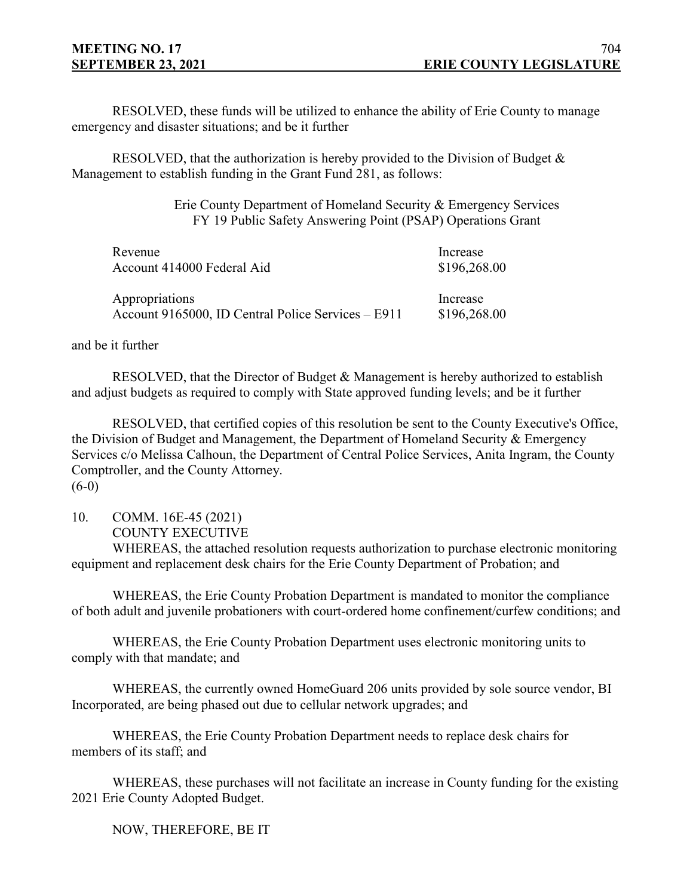RESOLVED, these funds will be utilized to enhance the ability of Erie County to manage emergency and disaster situations; and be it further

RESOLVED, that the authorization is hereby provided to the Division of Budget  $\&$ Management to establish funding in the Grant Fund 281, as follows:

> Erie County Department of Homeland Security & Emergency Services FY 19 Public Safety Answering Point (PSAP) Operations Grant

| Revenue                                            | Increase     |
|----------------------------------------------------|--------------|
| Account 414000 Federal Aid                         | \$196,268.00 |
| Appropriations                                     | Increase     |
| Account 9165000, ID Central Police Services – E911 | \$196,268.00 |

and be it further

RESOLVED, that the Director of Budget & Management is hereby authorized to establish and adjust budgets as required to comply with State approved funding levels; and be it further

RESOLVED, that certified copies of this resolution be sent to the County Executive's Office, the Division of Budget and Management, the Department of Homeland Security & Emergency Services c/o Melissa Calhoun, the Department of Central Police Services, Anita Ingram, the County Comptroller, and the County Attorney.  $(6-0)$ 

10. COMM. 16E-45 (2021)

COUNTY EXECUTIVE

WHEREAS, the attached resolution requests authorization to purchase electronic monitoring equipment and replacement desk chairs for the Erie County Department of Probation; and

WHEREAS, the Erie County Probation Department is mandated to monitor the compliance of both adult and juvenile probationers with court-ordered home confinement/curfew conditions; and

WHEREAS, the Erie County Probation Department uses electronic monitoring units to comply with that mandate; and

WHEREAS, the currently owned HomeGuard 206 units provided by sole source vendor, BI Incorporated, are being phased out due to cellular network upgrades; and

WHEREAS, the Erie County Probation Department needs to replace desk chairs for members of its staff; and

WHEREAS, these purchases will not facilitate an increase in County funding for the existing 2021 Erie County Adopted Budget.

NOW, THEREFORE, BE IT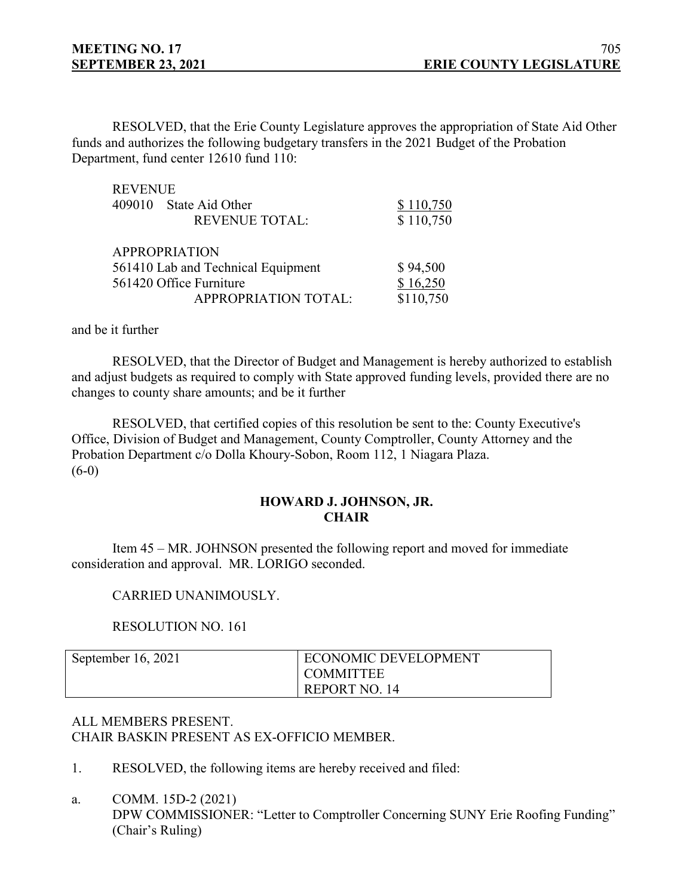RESOLVED, that the Erie County Legislature approves the appropriation of State Aid Other funds and authorizes the following budgetary transfers in the 2021 Budget of the Probation Department, fund center 12610 fund 110:

| <b>REVENUE</b>       |                                    |           |
|----------------------|------------------------------------|-----------|
| 409010               | State Aid Other                    | \$110,750 |
|                      | <b>REVENUE TOTAL:</b>              | \$110,750 |
| <b>APPROPRIATION</b> |                                    |           |
|                      | 561410 Lab and Technical Equipment | \$94,500  |
|                      | 561420 Office Furniture            | \$16,250  |
|                      | <b>APPROPRIATION TOTAL:</b>        | \$110,750 |

and be it further

RESOLVED, that the Director of Budget and Management is hereby authorized to establish and adjust budgets as required to comply with State approved funding levels, provided there are no changes to county share amounts; and be it further

RESOLVED, that certified copies of this resolution be sent to the: County Executive's Office, Division of Budget and Management, County Comptroller, County Attorney and the Probation Department c/o Dolla Khoury-Sobon, Room 112, 1 Niagara Plaza.  $(6-0)$ 

# **HOWARD J. JOHNSON, JR. CHAIR**

Item 45 – MR. JOHNSON presented the following report and moved for immediate consideration and approval. MR. LORIGO seconded.

## CARRIED UNANIMOUSLY.

## RESOLUTION NO. 161

| September 16, 2021 | <b>ECONOMIC DEVELOPMENT</b> |
|--------------------|-----------------------------|
|                    | I COMMITTEE                 |
|                    | REPORT NO. 14               |

# ALL MEMBERS PRESENT. CHAIR BASKIN PRESENT AS EX-OFFICIO MEMBER.

- 1. RESOLVED, the following items are hereby received and filed:
- a. COMM. 15D-2 (2021)

DPW COMMISSIONER: "Letter to Comptroller Concerning SUNY Erie Roofing Funding" (Chair's Ruling)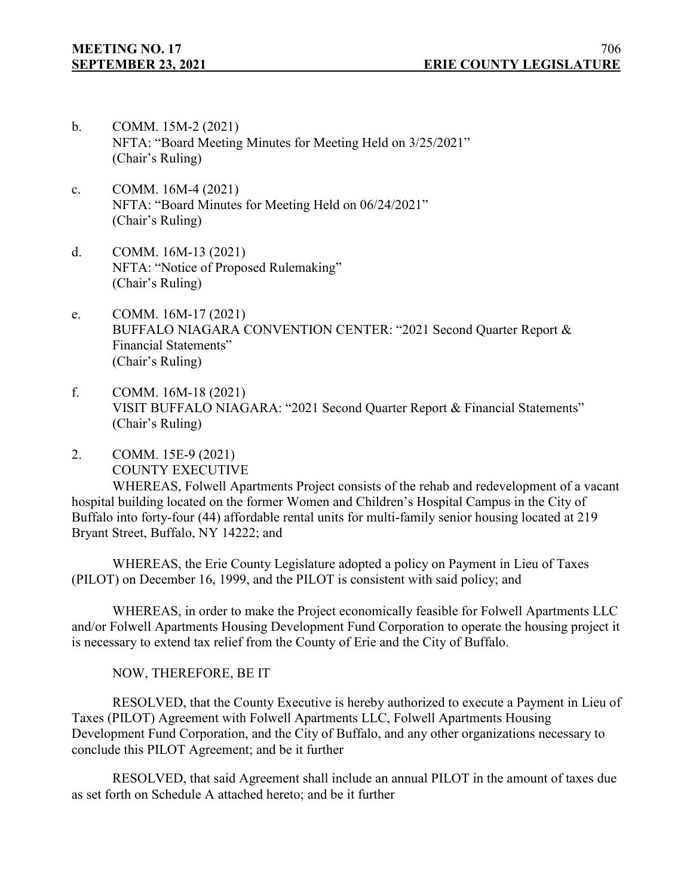- b. COMM. 15M-2 (2021) NFTA: "Board Meeting Minutes for Meeting Held on 3/25/2021" (Chair's Ruling)
- c. COMM. 16M-4 (2021) NFTA: "Board Minutes for Meeting Held on 06/24/2021" (Chair's Ruling)
- d. COMM. 16M-13 (2021) NFTA: "Notice of Proposed Rulemaking" (Chair's Ruling)
- e. COMM. 16M-17 (2021) BUFFALO NIAGARA CONVENTION CENTER: "2021 Second Quarter Report & Financial Statements" (Chair's Ruling)
- f. COMM. 16M-18 (2021) VISIT BUFFALO NIAGARA: "2021 Second Quarter Report & Financial Statements" (Chair's Ruling)
- 2. COMM. 15E-9 (2021) COUNTY EXECUTIVE

WHEREAS, Folwell Apartments Project consists of the rehab and redevelopment of a vacant hospital building located on the former Women and Children's Hospital Campus in the City of Buffalo into forty-four (44) affordable rental units for multi-family senior housing located at 219 Bryant Street, Buffalo, NY 14222; and

WHEREAS, the Erie County Legislature adopted a policy on Payment in Lieu of Taxes (PILOT) on December 16, 1999, and the PILOT is consistent with said policy; and

WHEREAS, in order to make the Project economically feasible for Folwell Apartments LLC and/or Folwell Apartments Housing Development Fund Corporation to operate the housing project it is necessary to extend tax relief from the County of Erie and the City of Buffalo.

NOW, THEREFORE, BE IT

RESOLVED, that the County Executive is hereby authorized to execute a Payment in Lieu of Taxes (PILOT) Agreement with Folwell Apartments LLC, Folwell Apartments Housing Development Fund Corporation, and the City of Buffalo, and any other organizations necessary to conclude this PILOT Agreement; and be it further

RESOLVED, that said Agreement shall include an annual PILOT in the amount of taxes due as set forth on Schedule A attached hereto; and be it further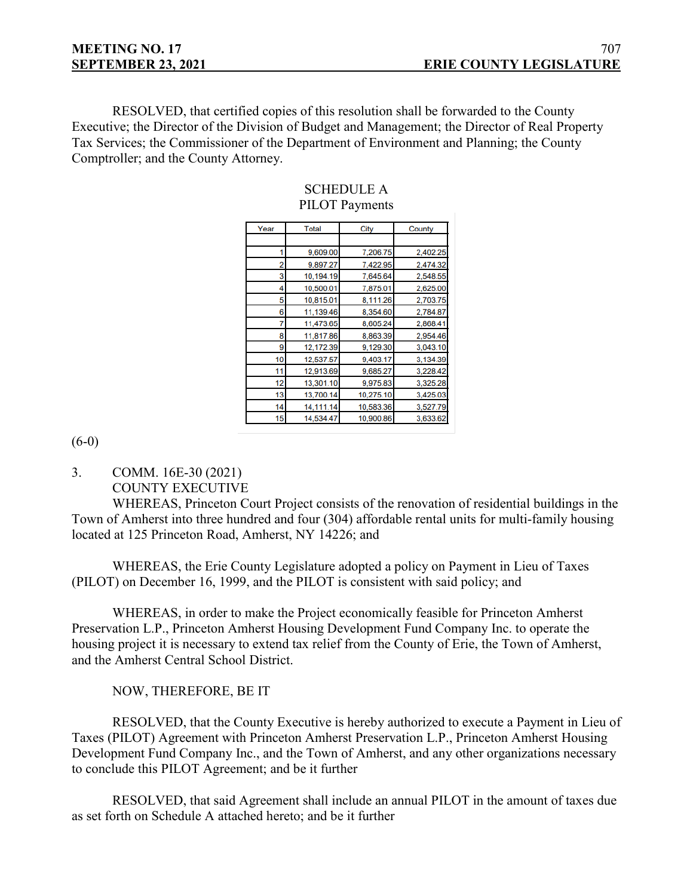RESOLVED, that certified copies of this resolution shall be forwarded to the County Executive; the Director of the Division of Budget and Management; the Director of Real Property Tax Services; the Commissioner of the Department of Environment and Planning; the County Comptroller; and the County Attorney.

| Year | <b>Total</b> | City      | County   |
|------|--------------|-----------|----------|
|      |              |           |          |
| 1    | 9,609.00     | 7,206.75  | 2,402.25 |
| 2    | 9,897.27     | 7,422.95  | 2,474.32 |
| 3    | 10,194.19    | 7,645.64  | 2,548.55 |
| 4    | 10,500.01    | 7,875.01  | 2,625.00 |
| 5    | 10,815.01    | 8,111.26  | 2,703.75 |
| 6    | 11,139.46    | 8,354.60  | 2,784.87 |
| 7    | 11,473.65    | 8,605.24  | 2,868.41 |
| 8    | 11,817.86    | 8,863.39  | 2,954.46 |
| 9    | 12,172.39    | 9,129.30  | 3,043.10 |
| 10   | 12,537.57    | 9,403.17  | 3,134.39 |
| 11   | 12,913.69    | 9,685.27  | 3,228.42 |
| 12   | 13,301.10    | 9,975.83  | 3,325.28 |
| 13   | 13,700.14    | 10,275.10 | 3,425.03 |
| 14   | 14,111.14    | 10,583.36 | 3,527.79 |
| 15   | 14,534.47    | 10,900.86 | 3,633.62 |

## SCHEDULE A PILOT Payments

 $(6-0)$ 

3. COMM. 16E-30 (2021) COUNTY EXECUTIVE

WHEREAS, Princeton Court Project consists of the renovation of residential buildings in the Town of Amherst into three hundred and four (304) affordable rental units for multi-family housing located at 125 Princeton Road, Amherst, NY 14226; and

WHEREAS, the Erie County Legislature adopted a policy on Payment in Lieu of Taxes (PILOT) on December 16, 1999, and the PILOT is consistent with said policy; and

WHEREAS, in order to make the Project economically feasible for Princeton Amherst Preservation L.P., Princeton Amherst Housing Development Fund Company Inc. to operate the housing project it is necessary to extend tax relief from the County of Erie, the Town of Amherst, and the Amherst Central School District.

NOW, THEREFORE, BE IT

RESOLVED, that the County Executive is hereby authorized to execute a Payment in Lieu of Taxes (PILOT) Agreement with Princeton Amherst Preservation L.P., Princeton Amherst Housing Development Fund Company Inc., and the Town of Amherst, and any other organizations necessary to conclude this PILOT Agreement; and be it further

RESOLVED, that said Agreement shall include an annual PILOT in the amount of taxes due as set forth on Schedule A attached hereto; and be it further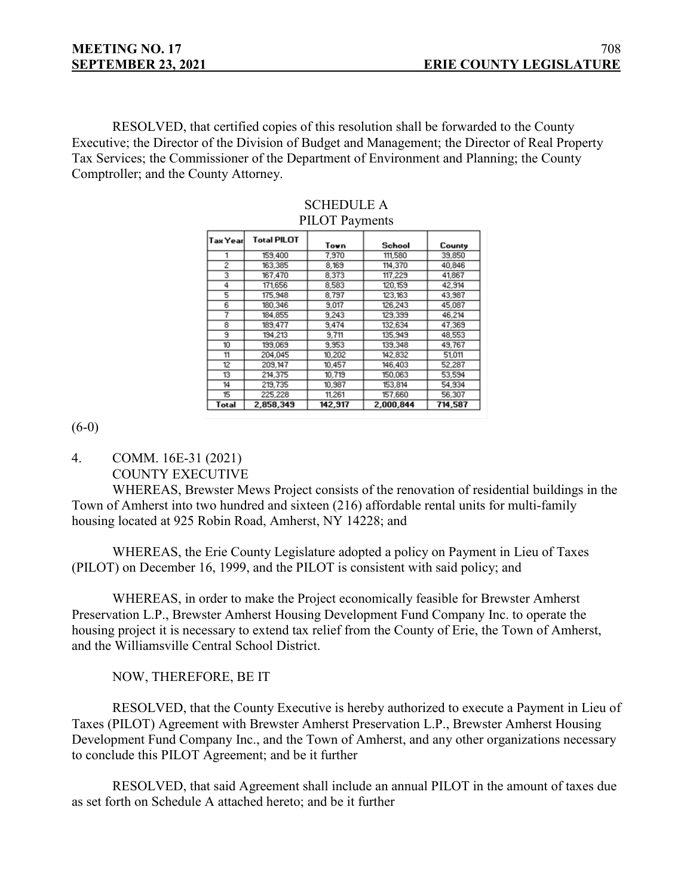RESOLVED, that certified copies of this resolution shall be forwarded to the County Executive; the Director of the Division of Budget and Management; the Director of Real Property Tax Services; the Commissioner of the Department of Environment and Planning; the County Comptroller; and the County Attorney.

| Tax Yearl      | <b>Total PILOT</b> | Town    | School    | County  |
|----------------|--------------------|---------|-----------|---------|
|                | 159,400            | 7,970   | 111,580   | 39,850  |
| $\overline{2}$ | 163,385            | 8,169   | 114,370   | 40.846  |
| 3              | 167,470            | 8,373   | 117,229   | 41,867  |
| 4              | 171,656            | 8,583   | 120.159   | 42.914  |
| 5              | 175.948            | 8,797   | 123,163   | 43,987  |
| 6              | 180,346            | 9,017   | 126,243   | 45,087  |
| 7              | 184,855            | 9.243   | 129,399   | 46.214  |
| 8              | 189,477            | 9,474   | 132,634   | 47,369  |
| Э              | 194,213            | 9.711   | 135,949   | 48,553  |
| 10             | 199,069            | 9,953   | 139.348   | 49,767  |
| 11             | 204,045            | 10,202  | 142,832   | 51,011  |
| 12             | 209.147            | 10,457  | 146.403   | 52,287  |
| 13             | 214,375            | 10,719  | 150,063   | 53,594  |
| 14             | 219,735            | 10,987  | 153,814   | 54,934  |
| 15             | 225,228            | 11,261  | 157,660   | 56,307  |
| Total          | 2,858,349          | 142,917 | 2,000,844 | 714,587 |

### SCHEDULE A PILOT Payments

(6-0)

4. COMM. 16E-31 (2021) COUNTY EXECUTIVE

WHEREAS, Brewster Mews Project consists of the renovation of residential buildings in the Town of Amherst into two hundred and sixteen (216) affordable rental units for multi-family housing located at 925 Robin Road, Amherst, NY 14228; and

WHEREAS, the Erie County Legislature adopted a policy on Payment in Lieu of Taxes (PILOT) on December 16, 1999, and the PILOT is consistent with said policy; and

WHEREAS, in order to make the Project economically feasible for Brewster Amherst Preservation L.P., Brewster Amherst Housing Development Fund Company Inc. to operate the housing project it is necessary to extend tax relief from the County of Erie, the Town of Amherst, and the Williamsville Central School District.

NOW, THEREFORE, BE IT

RESOLVED, that the County Executive is hereby authorized to execute a Payment in Lieu of Taxes (PILOT) Agreement with Brewster Amherst Preservation L.P., Brewster Amherst Housing Development Fund Company Inc., and the Town of Amherst, and any other organizations necessary to conclude this PILOT Agreement; and be it further

RESOLVED, that said Agreement shall include an annual PILOT in the amount of taxes due as set forth on Schedule A attached hereto; and be it further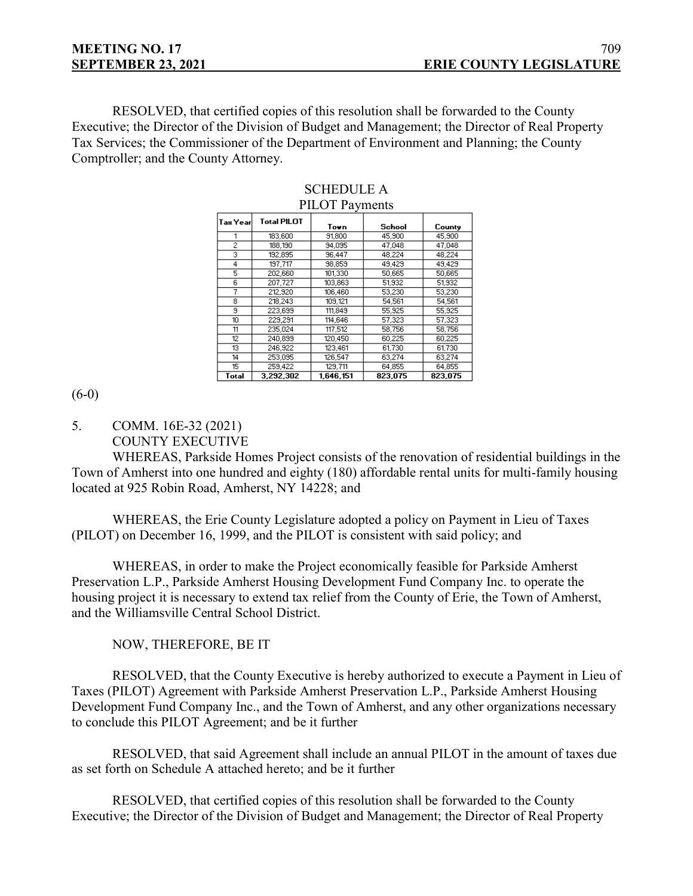RESOLVED, that certified copies of this resolution shall be forwarded to the County Executive; the Director of the Division of Budget and Management; the Director of Real Property Tax Services; the Commissioner of the Department of Environment and Planning; the County Comptroller; and the County Attorney.

| $1.123$ $1.141$ |                    |           |         |         |
|-----------------|--------------------|-----------|---------|---------|
| Tax Yearl       | <b>Total PILOT</b> | Town      | School  | County  |
|                 | 183,600            | 91,800    | 45,900  | 45,900  |
| $\overline{c}$  | 188,190            | 94.095    | 47,048  | 47,048  |
| 3               | 192,895            | 96,447    | 48.224  | 48.224  |
| 4               | 197,717            | 98,859    | 49,429  | 49,429  |
| 5               | 202,660            | 101,330   | 50,665  | 50,665  |
| 6               | 207,727            | 103,863   | 51,932  | 51,932  |
| 7               | 212,920            | 106.460   | 53,230  | 53,230  |
| 8               | 218,243            | 109,121   | 54,561  | 54,561  |
| 9               | 223.699            | 111.849   | 55.925  | 55.925  |
| 10              | 229,291            | 114,646   | 57,323  | 57,323  |
| 11              | 235.024            | 117,512   | 58,756  | 58,756  |
| 12              | 240,899            | 120,450   | 60,225  | 60,225  |
| 13              | 246,922            | 123,461   | 61,730  | 61,730  |
| 14              | 253.095            | 126.547   | 63.274  | 63.274  |
| 15              | 259,422            | 129,711   | 64.855  | 64.855  |
| Total           | 3.292.302          | 1.646.151 | 823.075 | 823.075 |

#### SCHEDULE A PILOT Payments

 $(6-0)$ 

5. COMM. 16E-32 (2021) COUNTY EXECUTIVE

WHEREAS, Parkside Homes Project consists of the renovation of residential buildings in the Town of Amherst into one hundred and eighty (180) affordable rental units for multi-family housing located at 925 Robin Road, Amherst, NY 14228; and

WHEREAS, the Erie County Legislature adopted a policy on Payment in Lieu of Taxes (PILOT) on December 16, 1999, and the PILOT is consistent with said policy; and

WHEREAS, in order to make the Project economically feasible for Parkside Amherst Preservation L.P., Parkside Amherst Housing Development Fund Company Inc. to operate the housing project it is necessary to extend tax relief from the County of Erie, the Town of Amherst, and the Williamsville Central School District.

NOW, THEREFORE, BE IT

RESOLVED, that the County Executive is hereby authorized to execute a Payment in Lieu of Taxes (PILOT) Agreement with Parkside Amherst Preservation L.P., Parkside Amherst Housing Development Fund Company Inc., and the Town of Amherst, and any other organizations necessary to conclude this PILOT Agreement; and be it further

RESOLVED, that said Agreement shall include an annual PILOT in the amount of taxes due as set forth on Schedule A attached hereto; and be it further

RESOLVED, that certified copies of this resolution shall be forwarded to the County Executive; the Director of the Division of Budget and Management; the Director of Real Property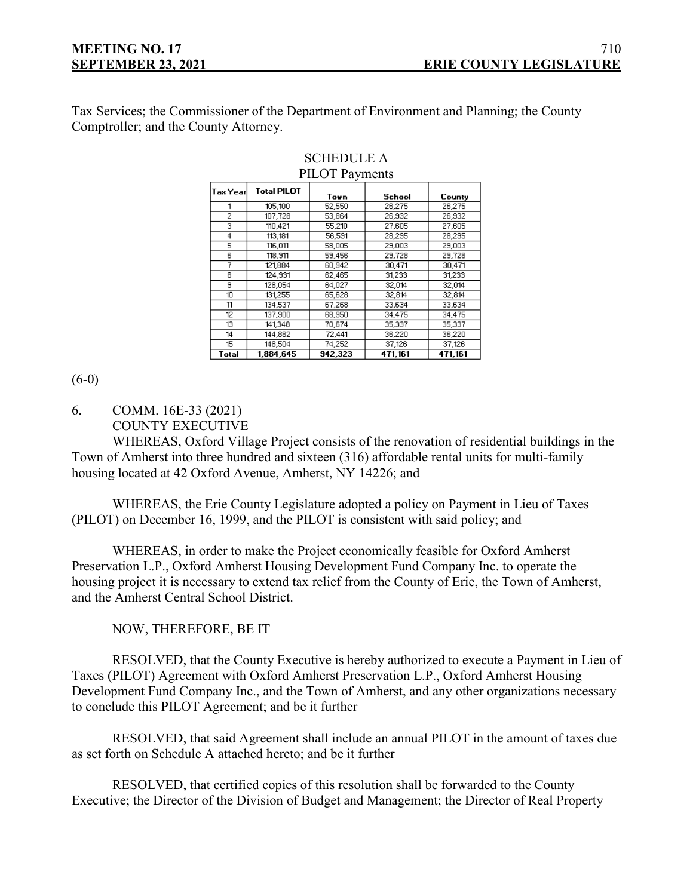Tax Services; the Commissioner of the Department of Environment and Planning; the County Comptroller; and the County Attorney.

| $1 \pm 0.1$ $\pm 0.01$ |                    |         |         |         |
|------------------------|--------------------|---------|---------|---------|
| Tax Year               | <b>Total PILOT</b> | Town    | School  | County  |
|                        | 105,100            | 52,550  | 26.275  | 26,275  |
| ž                      | 107.728            | 53.864  | 26.932  | 26.932  |
| 3                      | 110,421            | 55,210  | 27,605  | 27,605  |
| 4                      | 113,181            | 56,591  | 28,295  | 28,295  |
| 5                      | 116,011            | 58,005  | 29,003  | 29,003  |
| 6                      | 118,911            | 59.456  | 29,728  | 29,728  |
| 7                      | 121.884            | 60.942  | 30.471  | 30.471  |
| 8                      | 124.931            | 62.465  | 31,233  | 31,233  |
| 9                      | 128.054            | 64.027  | 32.014  | 32,014  |
| 10                     | 131,255            | 65,628  | 32,814  | 32,814  |
| 11                     | 134.537            | 67,268  | 33,634  | 33,634  |
| 12                     | 137,900            | 68,950  | 34,475  | 34,475  |
| 13                     | 141,348            | 70,674  | 35,337  | 35,337  |
| 14                     | 144.882            | 72.441  | 36.220  | 36.220  |
| 15                     | 148,504            | 74,252  | 37,126  | 37,126  |
| Total                  | 1.884.645          | 942,323 | 471,161 | 471,161 |

#### SCHEDULE A PILOT Payments

(6-0)

6. COMM. 16E-33 (2021)

```
COUNTY EXECUTIVE
```
WHEREAS, Oxford Village Project consists of the renovation of residential buildings in the Town of Amherst into three hundred and sixteen (316) affordable rental units for multi-family housing located at 42 Oxford Avenue, Amherst, NY 14226; and

WHEREAS, the Erie County Legislature adopted a policy on Payment in Lieu of Taxes (PILOT) on December 16, 1999, and the PILOT is consistent with said policy; and

WHEREAS, in order to make the Project economically feasible for Oxford Amherst Preservation L.P., Oxford Amherst Housing Development Fund Company Inc. to operate the housing project it is necessary to extend tax relief from the County of Erie, the Town of Amherst, and the Amherst Central School District.

NOW, THEREFORE, BE IT

RESOLVED, that the County Executive is hereby authorized to execute a Payment in Lieu of Taxes (PILOT) Agreement with Oxford Amherst Preservation L.P., Oxford Amherst Housing Development Fund Company Inc., and the Town of Amherst, and any other organizations necessary to conclude this PILOT Agreement; and be it further

RESOLVED, that said Agreement shall include an annual PILOT in the amount of taxes due as set forth on Schedule A attached hereto; and be it further

RESOLVED, that certified copies of this resolution shall be forwarded to the County Executive; the Director of the Division of Budget and Management; the Director of Real Property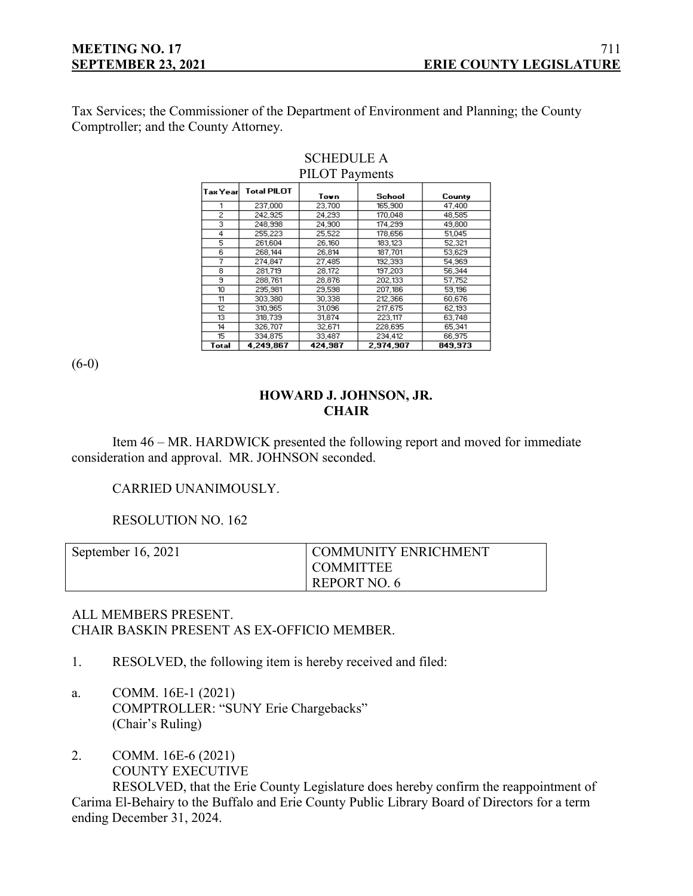Tax Services; the Commissioner of the Department of Environment and Planning; the County Comptroller; and the County Attorney.

| $\sim$ 12 $\sim$ 1 $\sim$ 7 $\sim$ 7 $\sim$ 7 $\sim$ 7 $\sim$ 7 $\sim$ 7 $\sim$ 7 $\sim$ 7 $\sim$ 7 $\sim$ 7 $\sim$ 7 $\sim$ 7 $\sim$ 7 $\sim$ 7 $\sim$ 7 $\sim$ 7 $\sim$ 7 $\sim$ 7 $\sim$ 7 $\sim$ 7 $\sim$ 7 $\sim$ 7 $\sim$ 7 $\sim$ 7 $\sim$ 7 $\sim$ 7 $\sim$ 7 $\sim$ 7 $\sim$ 7 $\sim$ |                    |         |           |         |
|------------------------------------------------------------------------------------------------------------------------------------------------------------------------------------------------------------------------------------------------------------------------------------------------|--------------------|---------|-----------|---------|
| Tax Yearl                                                                                                                                                                                                                                                                                      | <b>Total PILOT</b> | Town    | School    | County  |
|                                                                                                                                                                                                                                                                                                | 237.000            | 23.700  | 165,900   | 47.400  |
| ž                                                                                                                                                                                                                                                                                              | 242,925            | 24.293  | 170.048   | 48.585  |
| 3                                                                                                                                                                                                                                                                                              | 248.998            | 24.900  | 174.299   | 49.800  |
| 4                                                                                                                                                                                                                                                                                              | 255.223            | 25.522  | 178,656   | 51.045  |
| 5                                                                                                                                                                                                                                                                                              | 261.604            | 26.160  | 183.123   | 52.321  |
| 6                                                                                                                                                                                                                                                                                              | 268.144            | 26.814  | 187,701   | 53.629  |
| 7                                                                                                                                                                                                                                                                                              | 274.847            | 27.485  | 192.393   | 54,969  |
| 8                                                                                                                                                                                                                                                                                              | 281.719            | 28.172  | 197,203   | 56,344  |
| э                                                                                                                                                                                                                                                                                              | 288,761            | 28,876  | 202.133   | 57,752  |
| 10                                                                                                                                                                                                                                                                                             | 295,981            | 29,598  | 207,186   | 59,196  |
| 11                                                                                                                                                                                                                                                                                             | 303,380            | 30,338  | 212,366   | 60,676  |
| 12                                                                                                                                                                                                                                                                                             | 310,965            | 31,096  | 217,675   | 62,193  |
| 13                                                                                                                                                                                                                                                                                             | 318,739            | 31.874  | 223,117   | 63.748  |
| 14                                                                                                                                                                                                                                                                                             | 326,707            | 32,671  | 228,695   | 65,341  |
| 15.                                                                                                                                                                                                                                                                                            | 334.875            | 33,487  | 234.412   | 66.975  |
| Total                                                                                                                                                                                                                                                                                          | 4.249.867          | 424.987 | 2.974.907 | 849.973 |

#### SCHEDULE A PILOT Payments

(6-0)

# **HOWARD J. JOHNSON, JR. CHAIR**

Item 46 – MR. HARDWICK presented the following report and moved for immediate consideration and approval. MR. JOHNSON seconded.

# CARRIED UNANIMOUSLY.

RESOLUTION NO. 162

| September $16, 2021$ | <b>COMMUNITY ENRICHMENT</b> |
|----------------------|-----------------------------|
|                      | <b>COMMITTEE</b>            |
|                      | REPORT NO. 6                |

# ALL MEMBERS PRESENT. CHAIR BASKIN PRESENT AS EX-OFFICIO MEMBER.

- 1. RESOLVED, the following item is hereby received and filed:
- a. COMM. 16E-1 (2021) COMPTROLLER: "SUNY Erie Chargebacks" (Chair's Ruling)
- 2. COMM. 16E-6 (2021) COUNTY EXECUTIVE

RESOLVED, that the Erie County Legislature does hereby confirm the reappointment of Carima El-Behairy to the Buffalo and Erie County Public Library Board of Directors for a term ending December 31, 2024.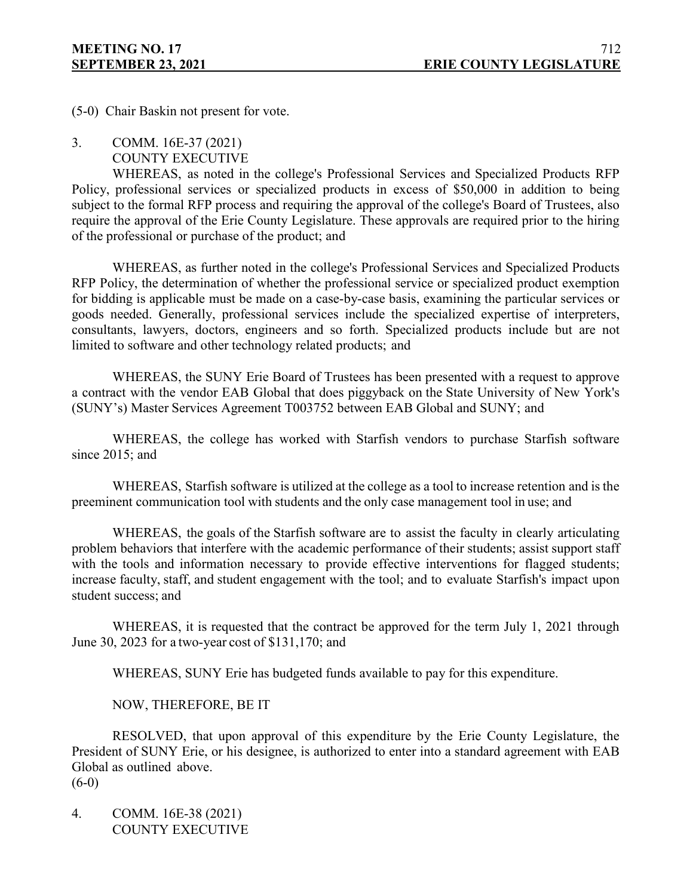(5-0) Chair Baskin not present for vote.

- 3. COMM. 16E-37 (2021)
	- COUNTY EXECUTIVE

WHEREAS, as noted in the college's Professional Services and Specialized Products RFP Policy, professional services or specialized products in excess of \$50,000 in addition to being subject to the formal RFP process and requiring the approval of the college's Board of Trustees, also require the approval of the Erie County Legislature. These approvals are required prior to the hiring of the professional or purchase of the product; and

WHEREAS, as further noted in the college's Professional Services and Specialized Products RFP Policy, the determination of whether the professional service or specialized product exemption for bidding is applicable must be made on a case-by-case basis, examining the particular services or goods needed. Generally, professional services include the specialized expertise of interpreters, consultants, lawyers, doctors, engineers and so forth. Specialized products include but are not limited to software and other technology related products; and

WHEREAS, the SUNY Erie Board of Trustees has been presented with a request to approve a contract with the vendor EAB Global that does piggyback on the State University of New York's (SUNY's) Master Services Agreement T003752 between EAB Global and SUNY; and

WHEREAS, the college has worked with Starfish vendors to purchase Starfish software since 2015; and

WHEREAS, Starfish software is utilized at the college as a tool to increase retention and is the preeminent communication tool with students and the only case management tool in use; and

WHEREAS, the goals of the Starfish software are to assist the faculty in clearly articulating problem behaviors that interfere with the academic performance of their students; assist support staff with the tools and information necessary to provide effective interventions for flagged students; increase faculty, staff, and student engagement with the tool; and to evaluate Starfish's impact upon student success; and

WHEREAS, it is requested that the contract be approved for the term July 1, 2021 through June 30, 2023 for a two-year cost of \$131,170; and

WHEREAS, SUNY Erie has budgeted funds available to pay for this expenditure.

NOW, THEREFORE, BE IT

RESOLVED, that upon approval of this expenditure by the Erie County Legislature, the President of SUNY Erie, or his designee, is authorized to enter into a standard agreement with EAB Global as outlined above.

(6-0)

4. COMM. 16E-38 (2021) COUNTY EXECUTIVE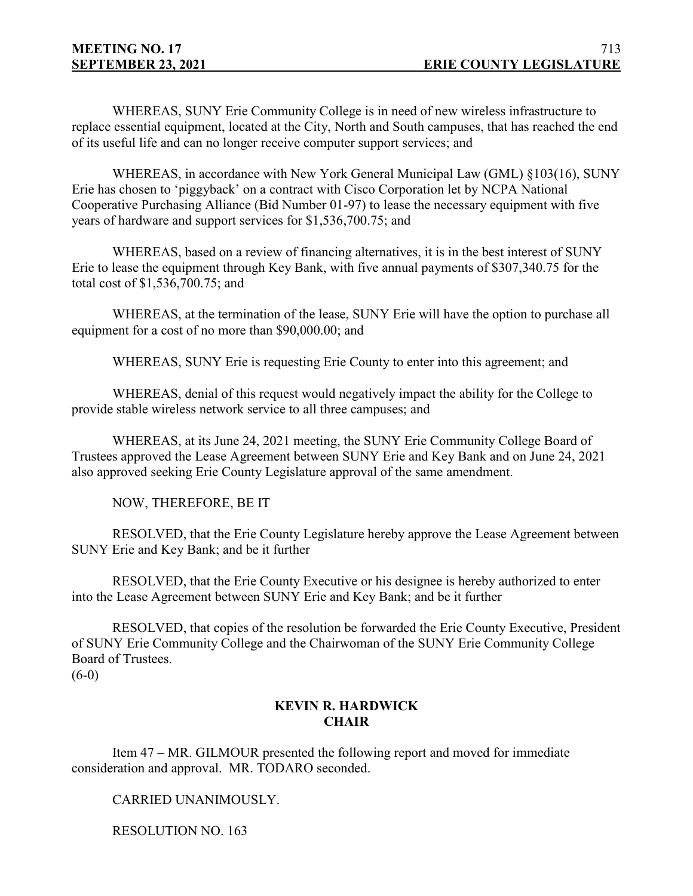WHEREAS, SUNY Erie Community College is in need of new wireless infrastructure to replace essential equipment, located at the City, North and South campuses, that has reached the end of its useful life and can no longer receive computer support services; and

WHEREAS, in accordance with New York General Municipal Law (GML) §103(16), SUNY Erie has chosen to 'piggyback' on a contract with Cisco Corporation let by NCPA National Cooperative Purchasing Alliance (Bid Number 01-97) to lease the necessary equipment with five years of hardware and support services for \$1,536,700.75; and

WHEREAS, based on a review of financing alternatives, it is in the best interest of SUNY Erie to lease the equipment through Key Bank, with five annual payments of \$307,340.75 for the total cost of \$1,536,700.75; and

WHEREAS, at the termination of the lease, SUNY Erie will have the option to purchase all equipment for a cost of no more than \$90,000.00; and

WHEREAS, SUNY Erie is requesting Erie County to enter into this agreement; and

WHEREAS, denial of this request would negatively impact the ability for the College to provide stable wireless network service to all three campuses; and

WHEREAS, at its June 24, 2021 meeting, the SUNY Erie Community College Board of Trustees approved the Lease Agreement between SUNY Erie and Key Bank and on June 24, 2021 also approved seeking Erie County Legislature approval of the same amendment.

NOW, THEREFORE, BE IT

RESOLVED, that the Erie County Legislature hereby approve the Lease Agreement between SUNY Erie and Key Bank; and be it further

RESOLVED, that the Erie County Executive or his designee is hereby authorized to enter into the Lease Agreement between SUNY Erie and Key Bank; and be it further

RESOLVED, that copies of the resolution be forwarded the Erie County Executive, President of SUNY Erie Community College and the Chairwoman of the SUNY Erie Community College Board of Trustees.  $(6-0)$ 

# **KEVIN R. HARDWICK CHAIR**

Item 47 – MR. GILMOUR presented the following report and moved for immediate consideration and approval. MR. TODARO seconded.

CARRIED UNANIMOUSLY.

RESOLUTION NO. 163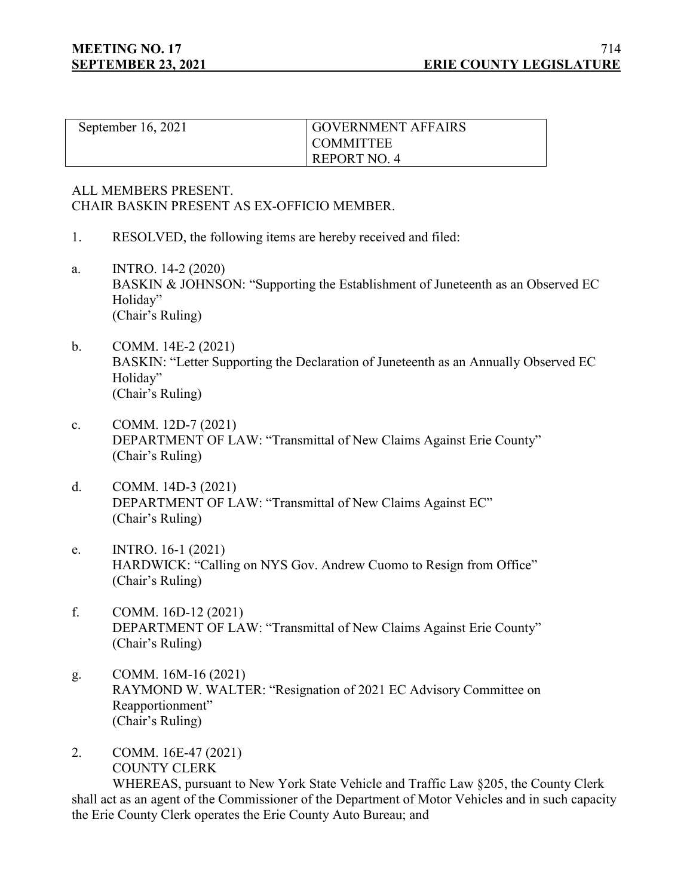| September 16, 2021 | <b>GOVERNMENT AFFAIRS</b> |
|--------------------|---------------------------|
|                    | I COMMITTEE               |
|                    | REPORT NO. 4              |

## ALL MEMBERS PRESENT. CHAIR BASKIN PRESENT AS EX-OFFICIO MEMBER.

- 1. RESOLVED, the following items are hereby received and filed:
- a. INTRO. 14-2 (2020) BASKIN & JOHNSON: "Supporting the Establishment of Juneteenth as an Observed EC Holiday" (Chair's Ruling)
- b. COMM. 14E-2 (2021) BASKIN: "Letter Supporting the Declaration of Juneteenth as an Annually Observed EC Holiday" (Chair's Ruling)
- c. COMM. 12D-7 (2021) DEPARTMENT OF LAW: "Transmittal of New Claims Against Erie County" (Chair's Ruling)
- d. COMM. 14D-3 (2021) DEPARTMENT OF LAW: "Transmittal of New Claims Against EC" (Chair's Ruling)
- e. INTRO. 16-1 (2021) HARDWICK: "Calling on NYS Gov. Andrew Cuomo to Resign from Office" (Chair's Ruling)
- f. COMM. 16D-12 (2021) DEPARTMENT OF LAW: "Transmittal of New Claims Against Erie County" (Chair's Ruling)
- g. COMM. 16M-16 (2021) RAYMOND W. WALTER: "Resignation of 2021 EC Advisory Committee on Reapportionment" (Chair's Ruling)
- 2. COMM. 16E-47 (2021) COUNTY CLERK

WHEREAS, pursuant to New York State Vehicle and Traffic Law §205, the County Clerk shall act as an agent of the Commissioner of the Department of Motor Vehicles and in such capacity the Erie County Clerk operates the Erie County Auto Bureau; and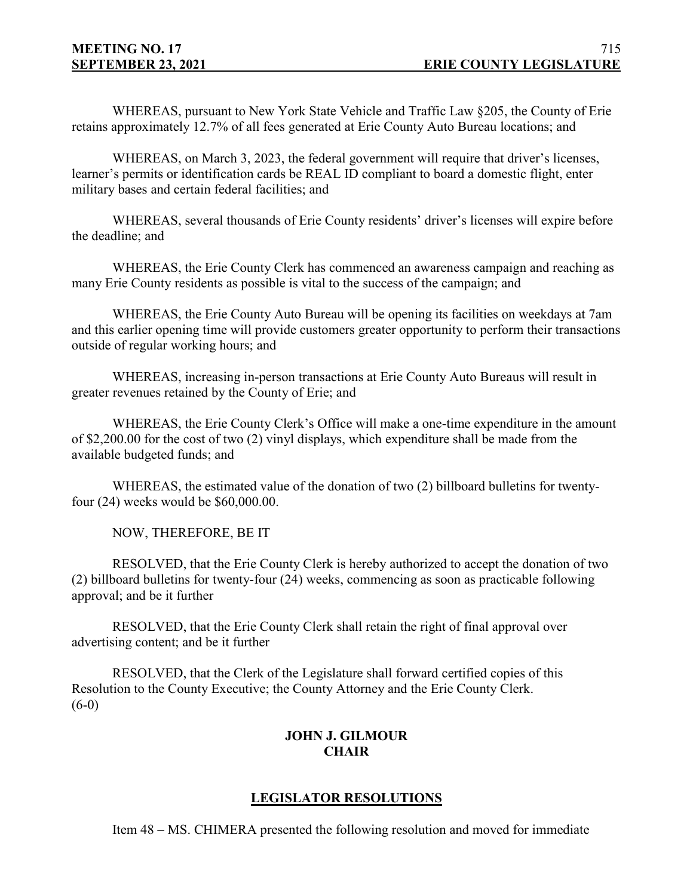WHEREAS, pursuant to New York State Vehicle and Traffic Law §205, the County of Erie retains approximately 12.7% of all fees generated at Erie County Auto Bureau locations; and

WHEREAS, on March 3, 2023, the federal government will require that driver's licenses, learner's permits or identification cards be REAL ID compliant to board a domestic flight, enter military bases and certain federal facilities; and

WHEREAS, several thousands of Erie County residents' driver's licenses will expire before the deadline; and

WHEREAS, the Erie County Clerk has commenced an awareness campaign and reaching as many Erie County residents as possible is vital to the success of the campaign; and

WHEREAS, the Erie County Auto Bureau will be opening its facilities on weekdays at 7am and this earlier opening time will provide customers greater opportunity to perform their transactions outside of regular working hours; and

WHEREAS, increasing in-person transactions at Erie County Auto Bureaus will result in greater revenues retained by the County of Erie; and

WHEREAS, the Erie County Clerk's Office will make a one-time expenditure in the amount of \$2,200.00 for the cost of two (2) vinyl displays, which expenditure shall be made from the available budgeted funds; and

WHEREAS, the estimated value of the donation of two (2) billboard bulletins for twentyfour (24) weeks would be \$60,000.00.

NOW, THEREFORE, BE IT

RESOLVED, that the Erie County Clerk is hereby authorized to accept the donation of two (2) billboard bulletins for twenty-four (24) weeks, commencing as soon as practicable following approval; and be it further

RESOLVED, that the Erie County Clerk shall retain the right of final approval over advertising content; and be it further

RESOLVED, that the Clerk of the Legislature shall forward certified copies of this Resolution to the County Executive; the County Attorney and the Erie County Clerk.  $(6-0)$ 

# **JOHN J. GILMOUR CHAIR**

# **LEGISLATOR RESOLUTIONS**

Item 48 – MS. CHIMERA presented the following resolution and moved for immediate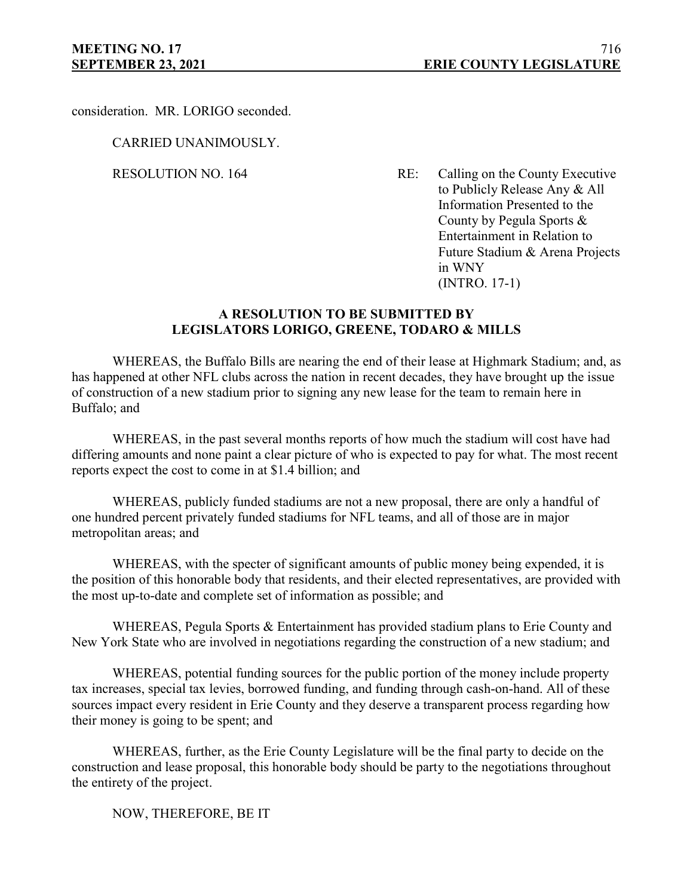consideration. MR. LORIGO seconded.

CARRIED UNANIMOUSLY.

RESOLUTION NO. 164 RE: Calling on the County Executive to Publicly Release Any & All Information Presented to the County by Pegula Sports & Entertainment in Relation to Future Stadium & Arena Projects in WNY (INTRO. 17-1)

## **A RESOLUTION TO BE SUBMITTED BY LEGISLATORS LORIGO, GREENE, TODARO & MILLS**

WHEREAS, the Buffalo Bills are nearing the end of their lease at Highmark Stadium; and, as has happened at other NFL clubs across the nation in recent decades, they have brought up the issue of construction of a new stadium prior to signing any new lease for the team to remain here in Buffalo; and

WHEREAS, in the past several months reports of how much the stadium will cost have had differing amounts and none paint a clear picture of who is expected to pay for what. The most recent reports expect the cost to come in at \$1.4 billion; and

WHEREAS, publicly funded stadiums are not a new proposal, there are only a handful of one hundred percent privately funded stadiums for NFL teams, and all of those are in major metropolitan areas; and

WHEREAS, with the specter of significant amounts of public money being expended, it is the position of this honorable body that residents, and their elected representatives, are provided with the most up-to-date and complete set of information as possible; and

WHEREAS, Pegula Sports & Entertainment has provided stadium plans to Erie County and New York State who are involved in negotiations regarding the construction of a new stadium; and

WHEREAS, potential funding sources for the public portion of the money include property tax increases, special tax levies, borrowed funding, and funding through cash-on-hand. All of these sources impact every resident in Erie County and they deserve a transparent process regarding how their money is going to be spent; and

WHEREAS, further, as the Erie County Legislature will be the final party to decide on the construction and lease proposal, this honorable body should be party to the negotiations throughout the entirety of the project.

NOW, THEREFORE, BE IT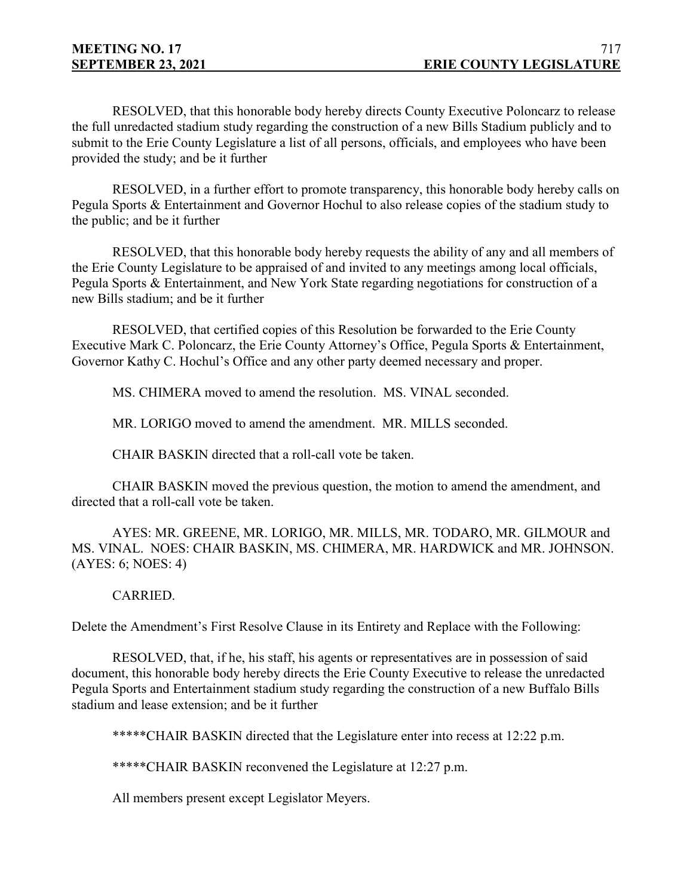RESOLVED, that this honorable body hereby directs County Executive Poloncarz to release the full unredacted stadium study regarding the construction of a new Bills Stadium publicly and to submit to the Erie County Legislature a list of all persons, officials, and employees who have been provided the study; and be it further

RESOLVED, in a further effort to promote transparency, this honorable body hereby calls on Pegula Sports & Entertainment and Governor Hochul to also release copies of the stadium study to the public; and be it further

RESOLVED, that this honorable body hereby requests the ability of any and all members of the Erie County Legislature to be appraised of and invited to any meetings among local officials, Pegula Sports & Entertainment, and New York State regarding negotiations for construction of a new Bills stadium; and be it further

RESOLVED, that certified copies of this Resolution be forwarded to the Erie County Executive Mark C. Poloncarz, the Erie County Attorney's Office, Pegula Sports & Entertainment, Governor Kathy C. Hochul's Office and any other party deemed necessary and proper.

MS. CHIMERA moved to amend the resolution. MS. VINAL seconded.

MR. LORIGO moved to amend the amendment. MR. MILLS seconded.

CHAIR BASKIN directed that a roll-call vote be taken.

CHAIR BASKIN moved the previous question, the motion to amend the amendment, and directed that a roll-call vote be taken.

AYES: MR. GREENE, MR. LORIGO, MR. MILLS, MR. TODARO, MR. GILMOUR and MS. VINAL. NOES: CHAIR BASKIN, MS. CHIMERA, MR. HARDWICK and MR. JOHNSON. (AYES: 6; NOES: 4)

# CARRIED.

Delete the Amendment's First Resolve Clause in its Entirety and Replace with the Following:

RESOLVED, that, if he, his staff, his agents or representatives are in possession of said document, this honorable body hereby directs the Erie County Executive to release the unredacted Pegula Sports and Entertainment stadium study regarding the construction of a new Buffalo Bills stadium and lease extension; and be it further

\*\*\*\*\*CHAIR BASKIN directed that the Legislature enter into recess at 12:22 p.m.

\*\*\*\*\*CHAIR BASKIN reconvened the Legislature at 12:27 p.m.

All members present except Legislator Meyers.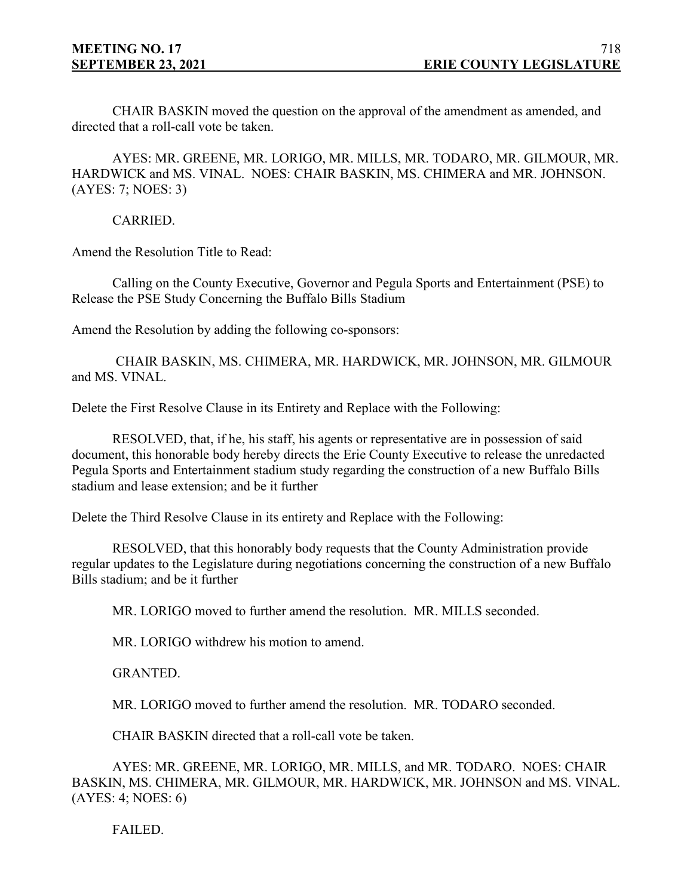CHAIR BASKIN moved the question on the approval of the amendment as amended, and directed that a roll-call vote be taken.

AYES: MR. GREENE, MR. LORIGO, MR. MILLS, MR. TODARO, MR. GILMOUR, MR. HARDWICK and MS. VINAL. NOES: CHAIR BASKIN, MS. CHIMERA and MR. JOHNSON. (AYES: 7; NOES: 3)

CARRIED.

Amend the Resolution Title to Read:

Calling on the County Executive, Governor and Pegula Sports and Entertainment (PSE) to Release the PSE Study Concerning the Buffalo Bills Stadium

Amend the Resolution by adding the following co-sponsors:

CHAIR BASKIN, MS. CHIMERA, MR. HARDWICK, MR. JOHNSON, MR. GILMOUR and MS. VINAL.

Delete the First Resolve Clause in its Entirety and Replace with the Following:

RESOLVED, that, if he, his staff, his agents or representative are in possession of said document, this honorable body hereby directs the Erie County Executive to release the unredacted Pegula Sports and Entertainment stadium study regarding the construction of a new Buffalo Bills stadium and lease extension; and be it further

Delete the Third Resolve Clause in its entirety and Replace with the Following:

RESOLVED, that this honorably body requests that the County Administration provide regular updates to the Legislature during negotiations concerning the construction of a new Buffalo Bills stadium; and be it further

MR. LORIGO moved to further amend the resolution. MR. MILLS seconded.

MR. LORIGO withdrew his motion to amend.

GRANTED.

MR. LORIGO moved to further amend the resolution. MR. TODARO seconded.

CHAIR BASKIN directed that a roll-call vote be taken.

AYES: MR. GREENE, MR. LORIGO, MR. MILLS, and MR. TODARO. NOES: CHAIR BASKIN, MS. CHIMERA, MR. GILMOUR, MR. HARDWICK, MR. JOHNSON and MS. VINAL. (AYES: 4; NOES: 6)

FAILED.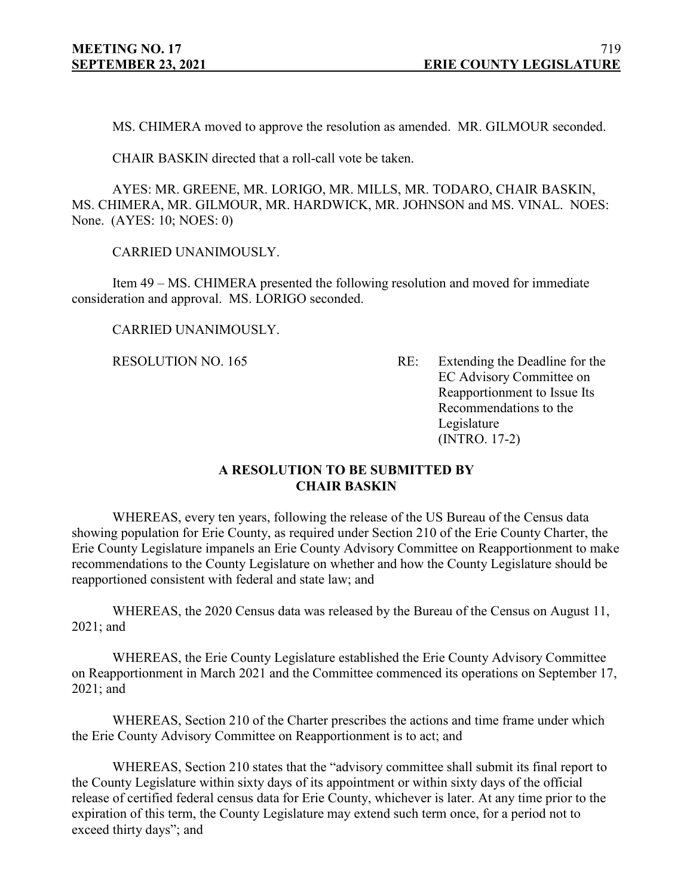MS. CHIMERA moved to approve the resolution as amended. MR. GILMOUR seconded.

CHAIR BASKIN directed that a roll-call vote be taken.

AYES: MR. GREENE, MR. LORIGO, MR. MILLS, MR. TODARO, CHAIR BASKIN, MS. CHIMERA, MR. GILMOUR, MR. HARDWICK, MR. JOHNSON and MS. VINAL. NOES: None. (AYES: 10; NOES: 0)

CARRIED UNANIMOUSLY.

Item 49 – MS. CHIMERA presented the following resolution and moved for immediate consideration and approval. MS. LORIGO seconded.

CARRIED UNANIMOUSLY.

RESOLUTION NO. 165 RE: Extending the Deadline for the EC Advisory Committee on Reapportionment to Issue Its Recommendations to the Legislature (INTRO. 17-2)

## **A RESOLUTION TO BE SUBMITTED BY CHAIR BASKIN**

WHEREAS, every ten years, following the release of the US Bureau of the Census data showing population for Erie County, as required under Section 210 of the Erie County Charter, the Erie County Legislature impanels an Erie County Advisory Committee on Reapportionment to make recommendations to the County Legislature on whether and how the County Legislature should be reapportioned consistent with federal and state law; and

WHEREAS, the 2020 Census data was released by the Bureau of the Census on August 11, 2021; and

WHEREAS, the Erie County Legislature established the Erie County Advisory Committee on Reapportionment in March 2021 and the Committee commenced its operations on September 17, 2021; and

WHEREAS, Section 210 of the Charter prescribes the actions and time frame under which the Erie County Advisory Committee on Reapportionment is to act; and

WHEREAS, Section 210 states that the "advisory committee shall submit its final report to the County Legislature within sixty days of its appointment or within sixty days of the official release of certified federal census data for Erie County, whichever is later. At any time prior to the expiration of this term, the County Legislature may extend such term once, for a period not to exceed thirty days"; and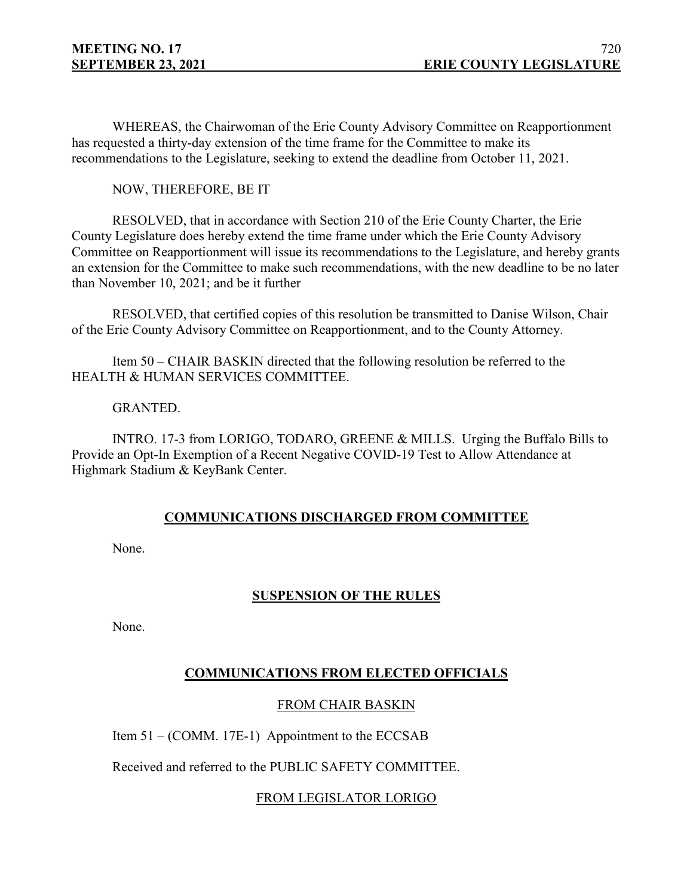WHEREAS, the Chairwoman of the Erie County Advisory Committee on Reapportionment has requested a thirty-day extension of the time frame for the Committee to make its recommendations to the Legislature, seeking to extend the deadline from October 11, 2021.

NOW, THEREFORE, BE IT

RESOLVED, that in accordance with Section 210 of the Erie County Charter, the Erie County Legislature does hereby extend the time frame under which the Erie County Advisory Committee on Reapportionment will issue its recommendations to the Legislature, and hereby grants an extension for the Committee to make such recommendations, with the new deadline to be no later than November 10, 2021; and be it further

RESOLVED, that certified copies of this resolution be transmitted to Danise Wilson, Chair of the Erie County Advisory Committee on Reapportionment, and to the County Attorney.

Item 50 – CHAIR BASKIN directed that the following resolution be referred to the HEALTH & HUMAN SERVICES COMMITTEE.

GRANTED.

INTRO. 17-3 from LORIGO, TODARO, GREENE & MILLS. Urging the Buffalo Bills to Provide an Opt-In Exemption of a Recent Negative COVID-19 Test to Allow Attendance at Highmark Stadium & KeyBank Center.

# **COMMUNICATIONS DISCHARGED FROM COMMITTEE**

None.

# **SUSPENSION OF THE RULES**

None.

# **COMMUNICATIONS FROM ELECTED OFFICIALS**

# FROM CHAIR BASKIN

Item 51 – (COMM. 17E-1) Appointment to the ECCSAB

Received and referred to the PUBLIC SAFETY COMMITTEE.

# FROM LEGISLATOR LORIGO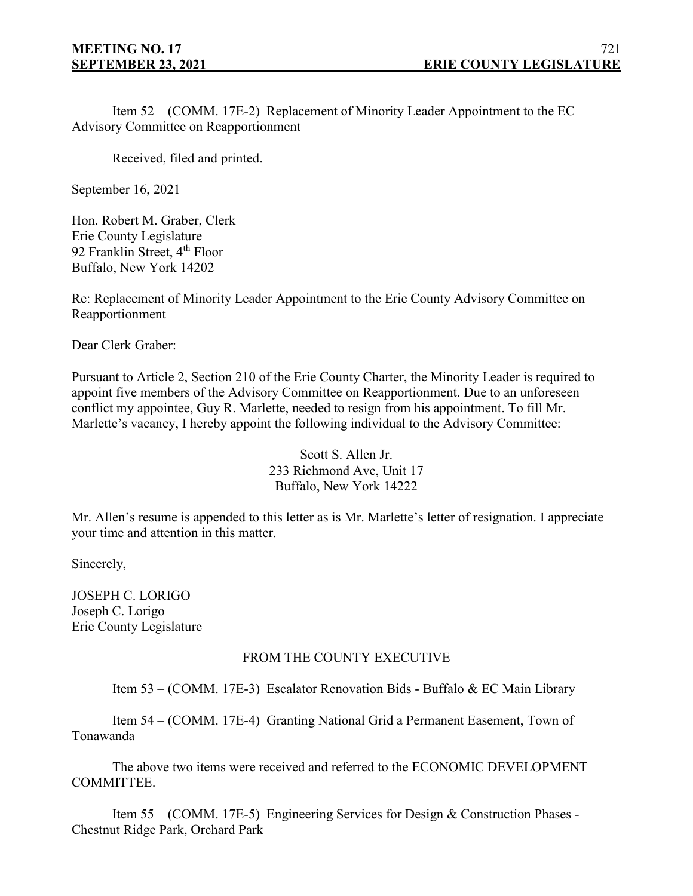Item 52 – (COMM. 17E-2) Replacement of Minority Leader Appointment to the EC Advisory Committee on Reapportionment

Received, filed and printed.

September 16, 2021

Hon. Robert M. Graber, Clerk Erie County Legislature 92 Franklin Street, 4<sup>th</sup> Floor Buffalo, New York 14202

Re: Replacement of Minority Leader Appointment to the Erie County Advisory Committee on Reapportionment

Dear Clerk Graber:

Pursuant to Article 2, Section 210 of the Erie County Charter, the Minority Leader is required to appoint five members of the Advisory Committee on Reapportionment. Due to an unforeseen conflict my appointee, Guy R. Marlette, needed to resign from his appointment. To fill Mr. Marlette's vacancy, I hereby appoint the following individual to the Advisory Committee:

> Scott S. Allen Jr. 233 Richmond Ave, Unit 17 Buffalo, New York 14222

Mr. Allen's resume is appended to this letter as is Mr. Marlette's letter of resignation. I appreciate your time and attention in this matter.

Sincerely,

JOSEPH C. LORIGO Joseph C. Lorigo Erie County Legislature

# FROM THE COUNTY EXECUTIVE

Item 53 – (COMM. 17E-3) Escalator Renovation Bids - Buffalo & EC Main Library

Item 54 – (COMM. 17E-4) Granting National Grid a Permanent Easement, Town of Tonawanda

The above two items were received and referred to the ECONOMIC DEVELOPMENT COMMITTEE.

Item 55 – (COMM. 17E-5) Engineering Services for Design & Construction Phases - Chestnut Ridge Park, Orchard Park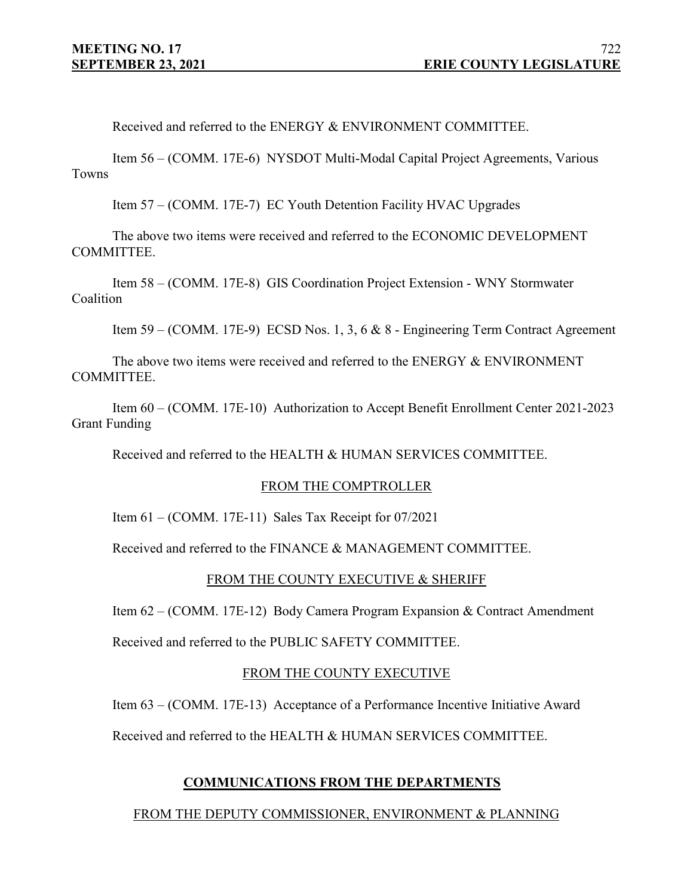Received and referred to the ENERGY & ENVIRONMENT COMMITTEE.

Item 56 – (COMM. 17E-6) NYSDOT Multi-Modal Capital Project Agreements, Various Towns

Item 57 – (COMM. 17E-7) EC Youth Detention Facility HVAC Upgrades

The above two items were received and referred to the ECONOMIC DEVELOPMENT COMMITTEE.

Item 58 – (COMM. 17E-8) GIS Coordination Project Extension - WNY Stormwater Coalition

Item 59 – (COMM. 17E-9) ECSD Nos. 1, 3, 6 & 8 - Engineering Term Contract Agreement

The above two items were received and referred to the ENERGY & ENVIRONMENT COMMITTEE.

Item 60 – (COMM. 17E-10) Authorization to Accept Benefit Enrollment Center 2021-2023 Grant Funding

Received and referred to the HEALTH & HUMAN SERVICES COMMITTEE.

### FROM THE COMPTROLLER

Item  $61 - (COMM. 17E-11)$  Sales Tax Receipt for  $07/2021$ 

Received and referred to the FINANCE & MANAGEMENT COMMITTEE.

### FROM THE COUNTY EXECUTIVE & SHERIFF

Item 62 – (COMM. 17E-12) Body Camera Program Expansion & Contract Amendment

Received and referred to the PUBLIC SAFETY COMMITTEE.

### FROM THE COUNTY EXECUTIVE

Item 63 – (COMM. 17E-13) Acceptance of a Performance Incentive Initiative Award

Received and referred to the HEALTH & HUMAN SERVICES COMMITTEE.

## **COMMUNICATIONS FROM THE DEPARTMENTS**

### FROM THE DEPUTY COMMISSIONER, ENVIRONMENT & PLANNING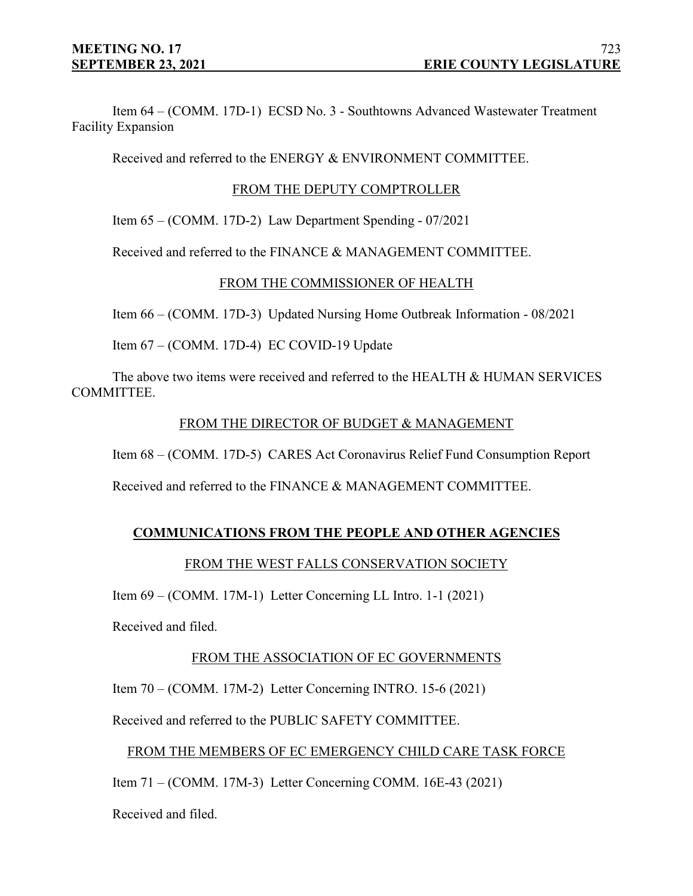Item 64 – (COMM. 17D-1) ECSD No. 3 - Southtowns Advanced Wastewater Treatment Facility Expansion

Received and referred to the ENERGY & ENVIRONMENT COMMITTEE.

# FROM THE DEPUTY COMPTROLLER

Item 65 – (COMM. 17D-2) Law Department Spending - 07/2021

Received and referred to the FINANCE & MANAGEMENT COMMITTEE.

# FROM THE COMMISSIONER OF HEALTH

Item 66 – (COMM. 17D-3) Updated Nursing Home Outbreak Information - 08/2021

Item 67 – (COMM. 17D-4) EC COVID-19 Update

The above two items were received and referred to the HEALTH & HUMAN SERVICES COMMITTEE.

# FROM THE DIRECTOR OF BUDGET & MANAGEMENT

Item 68 – (COMM. 17D-5) CARES Act Coronavirus Relief Fund Consumption Report

Received and referred to the FINANCE & MANAGEMENT COMMITTEE.

# **COMMUNICATIONS FROM THE PEOPLE AND OTHER AGENCIES**

# FROM THE WEST FALLS CONSERVATION SOCIETY

Item 69 – (COMM. 17M-1) Letter Concerning LL Intro. 1-1 (2021)

Received and filed.

# FROM THE ASSOCIATION OF EC GOVERNMENTS

Item 70 – (COMM. 17M-2) Letter Concerning INTRO. 15-6 (2021)

Received and referred to the PUBLIC SAFETY COMMITTEE.

# FROM THE MEMBERS OF EC EMERGENCY CHILD CARE TASK FORCE

Item 71 – (COMM. 17M-3) Letter Concerning COMM. 16E-43 (2021)

Received and filed.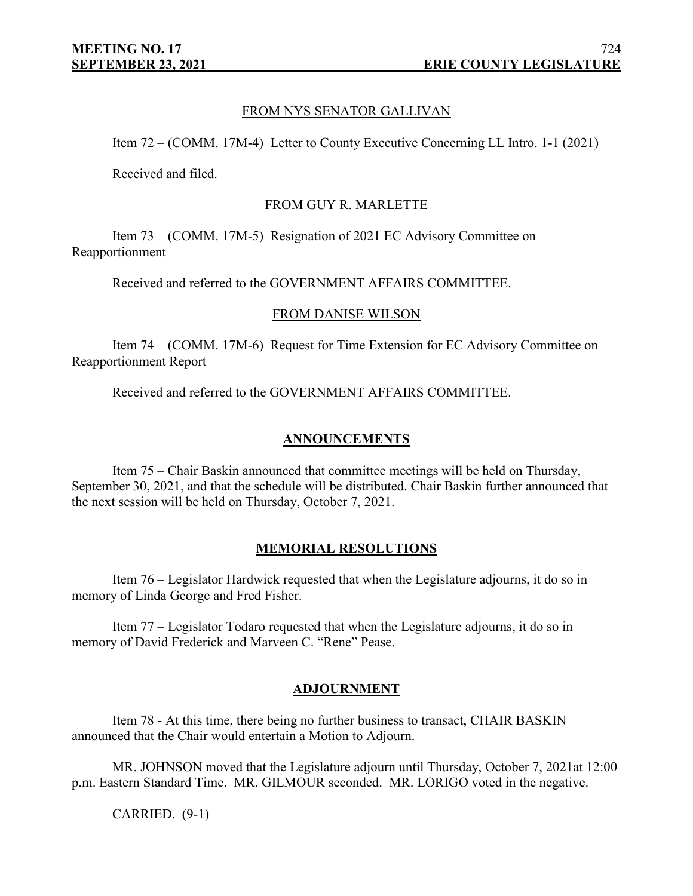# FROM NYS SENATOR GALLIVAN

Item 72 – (COMM. 17M-4) Letter to County Executive Concerning LL Intro. 1-1 (2021)

Received and filed.

### FROM GUY R. MARLETTE

Item 73 – (COMM. 17M-5) Resignation of 2021 EC Advisory Committee on Reapportionment

Received and referred to the GOVERNMENT AFFAIRS COMMITTEE.

### FROM DANISE WILSON

Item 74 – (COMM. 17M-6) Request for Time Extension for EC Advisory Committee on Reapportionment Report

Received and referred to the GOVERNMENT AFFAIRS COMMITTEE.

## **ANNOUNCEMENTS**

Item 75 – Chair Baskin announced that committee meetings will be held on Thursday, September 30, 2021, and that the schedule will be distributed. Chair Baskin further announced that the next session will be held on Thursday, October 7, 2021.

## **MEMORIAL RESOLUTIONS**

Item 76 – Legislator Hardwick requested that when the Legislature adjourns, it do so in memory of Linda George and Fred Fisher.

Item 77 – Legislator Todaro requested that when the Legislature adjourns, it do so in memory of David Frederick and Marveen C. "Rene" Pease.

## **ADJOURNMENT**

Item 78 - At this time, there being no further business to transact, CHAIR BASKIN announced that the Chair would entertain a Motion to Adjourn.

MR. JOHNSON moved that the Legislature adjourn until Thursday, October 7, 2021at 12:00 p.m. Eastern Standard Time. MR. GILMOUR seconded. MR. LORIGO voted in the negative.

CARRIED. (9-1)